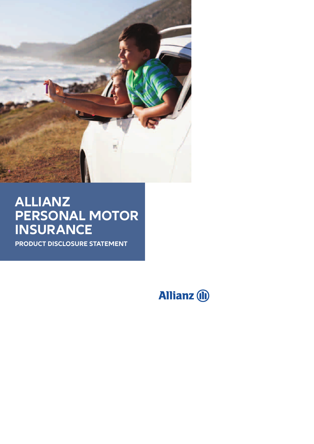

# **ALLIANZ PERSONAL MOTOR INSURANCE**

**PRODUCT DISCLOSURE STATEMENT**

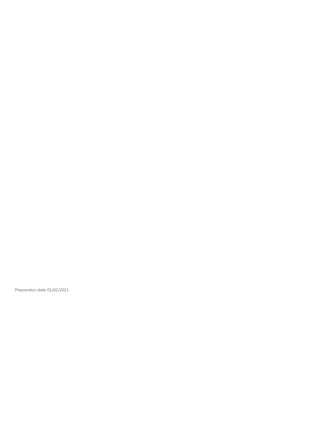Preparation date: 01/02/2021.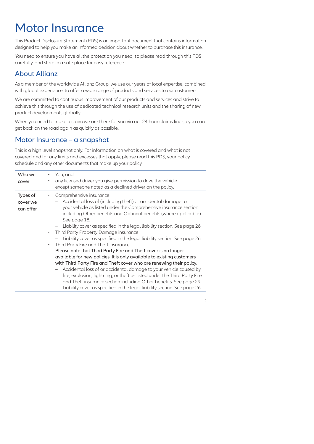# Motor Insurance

This Product Disclosure Statement (PDS) is an important document that contains information designed to help you make an informed decision about whether to purchase this insurance.

You need to ensure you have all the protection you need, so please read through this PDS carefully, and store in a safe place for easy reference.

# About Allianz

As a member of the worldwide Allianz Group, we use our years of local expertise, combined with global experience, to offer a wide range of products and services to our customers.

We are committed to continuous improvement of our products and services and strive to achieve this through the use of dedicated technical research units and the sharing of new product developments globally.

When you need to make a claim we are there for you via our 24 hour claims line so you can get back on the road again as quickly as possible.

# Motor Insurance – a snapshot

This is a high level snapshot only. For information on what is covered and what is not covered and for any limits and excesses that apply, please read this PDS, your policy schedule and any other documents that make up your policy.

| Who we<br>cover                   | You; and<br>٠<br>any licensed driver you give permission to drive the vehicle<br>٠<br>except someone noted as a declined driver on the policy.                                                                                                                                                                                                                                                                                                                                                                                                                                                                                                                          |
|-----------------------------------|-------------------------------------------------------------------------------------------------------------------------------------------------------------------------------------------------------------------------------------------------------------------------------------------------------------------------------------------------------------------------------------------------------------------------------------------------------------------------------------------------------------------------------------------------------------------------------------------------------------------------------------------------------------------------|
| Types of<br>cover we<br>can offer | Comprehensive insurance<br>٠<br>Accidental loss of (including theft) or accidental damage to<br>your vehicle as listed under the Comprehensive insurance section<br>including Other benefits and Optional benefits (where applicable).<br>See page 18.<br>Liability cover as specified in the legal liability section. See page 26.<br>Third Party Property Damage insurance<br>$\bullet$<br>Liability cover as specified in the legal liability section. See page 26.<br>Third Party Fire and Theft insurance<br>$\bullet$<br>Please note that Third Party Fire and Theft cover is no longer<br>available for new policies. It is only available to existing customers |
|                                   | with Third Party Fire and Theft cover who are renewing their policy.<br>Accidental loss of or accidental damage to your vehicle caused by<br>fire, explosion, lightning, or theft as listed under the Third Party Fire<br>and Theft insurance section including Other benefits. See page 29.<br>. 14 موجود هم المعتقدة مع المتاز والماء المعامل معاملة من المعتقدة مع مع المعتقد المعاملية المارة ا                                                                                                                                                                                                                                                                     |

– Liability cover as specified in the legal liability section. See page 26.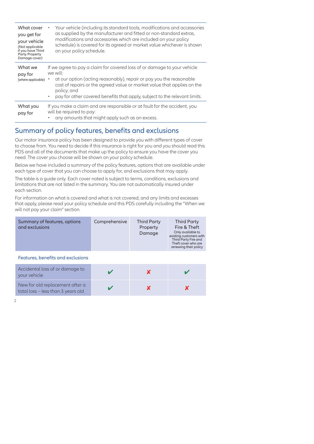| What cover<br>you get for<br>your vehicle<br>(Not applicable<br>if you have Third<br><b>Party Property</b><br>Damage cover)                                                                                                                                                                                                                                                                                                                                                                                                                                                                                                                                                                                                                                                                                                                                                                                                                                                                                                                  | on your policy schedule.                                                                              | Your vehicle (including its standard tools, modifications and accessories<br>as supplied by the manufacturer and fitted or non-standard extras,<br>modifications and accessories which are included on your policy<br>schedule) is covered for its agreed or market value whichever is shown |                                          |                                                                                                                                                            |
|----------------------------------------------------------------------------------------------------------------------------------------------------------------------------------------------------------------------------------------------------------------------------------------------------------------------------------------------------------------------------------------------------------------------------------------------------------------------------------------------------------------------------------------------------------------------------------------------------------------------------------------------------------------------------------------------------------------------------------------------------------------------------------------------------------------------------------------------------------------------------------------------------------------------------------------------------------------------------------------------------------------------------------------------|-------------------------------------------------------------------------------------------------------|----------------------------------------------------------------------------------------------------------------------------------------------------------------------------------------------------------------------------------------------------------------------------------------------|------------------------------------------|------------------------------------------------------------------------------------------------------------------------------------------------------------|
| What we<br>pay for                                                                                                                                                                                                                                                                                                                                                                                                                                                                                                                                                                                                                                                                                                                                                                                                                                                                                                                                                                                                                           | If we agree to pay a claim for covered loss of or damage to your vehicle<br>we will:                  |                                                                                                                                                                                                                                                                                              |                                          |                                                                                                                                                            |
| (where applicable)                                                                                                                                                                                                                                                                                                                                                                                                                                                                                                                                                                                                                                                                                                                                                                                                                                                                                                                                                                                                                           | policy; and                                                                                           | at our option (acting reasonably), repair or pay you the reasonable<br>cost of repairs or the agreed value or market value that applies on the<br>pay for other covered benefits that apply, subject to the relevant limits.                                                                 |                                          |                                                                                                                                                            |
| What you<br>pay for                                                                                                                                                                                                                                                                                                                                                                                                                                                                                                                                                                                                                                                                                                                                                                                                                                                                                                                                                                                                                          | If you make a claim and are responsible or at fault for the accident, you<br>will be required to pay: | any amounts that might apply such as an excess.                                                                                                                                                                                                                                              |                                          |                                                                                                                                                            |
| Summary of policy features, benefits and exclusions<br>Our motor insurance policy has been designed to provide you with different types of cover<br>to choose from. You need to decide if this insurance is right for you and you should read this<br>PDS and all of the documents that make up the policy to ensure you have the cover you<br>need. The cover you choose will be shown on your policy schedule.<br>Below we have included a summary of the policy features, options that are available under<br>each type of cover that you can choose to apply for, and exclusions that may apply.<br>The table is a guide only. Each cover noted is subject to terms, conditions, exclusions and<br>imitations that are not listed in the summary. You are not automatically insured under<br>each section.<br>For information on what is covered and what is not covered, and any limits and excesses<br>that apply, please read your policy schedule and this PDS carefully including the "When we<br>will not pay your claim" section. |                                                                                                       |                                                                                                                                                                                                                                                                                              |                                          |                                                                                                                                                            |
| and exclusions                                                                                                                                                                                                                                                                                                                                                                                                                                                                                                                                                                                                                                                                                                                                                                                                                                                                                                                                                                                                                               | Summary of features, options                                                                          | Comprehensive                                                                                                                                                                                                                                                                                | <b>Third Party</b><br>Property<br>Damage | <b>Third Party</b><br>Fire & Theft<br>Only available to<br>existing customers with<br>Third Party Fire and<br>Theft cover who are<br>renewing their policy |
|                                                                                                                                                                                                                                                                                                                                                                                                                                                                                                                                                                                                                                                                                                                                                                                                                                                                                                                                                                                                                                              | Features, benefits and exclusions                                                                     |                                                                                                                                                                                                                                                                                              |                                          |                                                                                                                                                            |
|                                                                                                                                                                                                                                                                                                                                                                                                                                                                                                                                                                                                                                                                                                                                                                                                                                                                                                                                                                                                                                              | Accidental loss of or damage to                                                                       |                                                                                                                                                                                                                                                                                              |                                          |                                                                                                                                                            |

# Summary of policy features, benefits and exclusions

| pay for        | will be required to pay:<br>• any amounts that might apply such as an excess.                                                                                                                                                                                                                                                                             |               |                                          |                                                                                                                                                            |
|----------------|-----------------------------------------------------------------------------------------------------------------------------------------------------------------------------------------------------------------------------------------------------------------------------------------------------------------------------------------------------------|---------------|------------------------------------------|------------------------------------------------------------------------------------------------------------------------------------------------------------|
|                | Summary of policy features, benefits and exclusions                                                                                                                                                                                                                                                                                                       |               |                                          |                                                                                                                                                            |
|                | Our motor insurance policy has been designed to provide you with different types of cover<br>to choose from. You need to decide if this insurance is right for you and you should read this<br>PDS and all of the documents that make up the policy to ensure you have the cover you<br>need. The cover you choose will be shown on your policy schedule. |               |                                          |                                                                                                                                                            |
|                | Below we have included a summary of the policy features, options that are available under<br>each type of cover that you can choose to apply for, and exclusions that may apply.                                                                                                                                                                          |               |                                          |                                                                                                                                                            |
| each section.  | The table is a guide only. Each cover noted is subject to terms, conditions, exclusions and<br>limitations that are not listed in the summary. You are not automatically insured under                                                                                                                                                                    |               |                                          |                                                                                                                                                            |
|                | For information on what is covered and what is not covered, and any limits and excesses<br>that apply, please read your policy schedule and this PDS carefully including the "When we<br>will not pay your claim" section.                                                                                                                                |               |                                          |                                                                                                                                                            |
| and exclusions | Summary of features, options                                                                                                                                                                                                                                                                                                                              | Comprehensive | <b>Third Party</b><br>Property<br>Damage | <b>Third Party</b><br>Fire & Theft<br>Only available to<br>existing customers with<br>Third Party Fire and<br>Theft cover who are<br>renewing their policy |
|                | Features, benefits and exclusions                                                                                                                                                                                                                                                                                                                         |               |                                          |                                                                                                                                                            |
| your vehicle   | Accidental loss of or damage to                                                                                                                                                                                                                                                                                                                           |               | X                                        |                                                                                                                                                            |
|                | New for old replacement after a<br>total loss - less than 3 years old                                                                                                                                                                                                                                                                                     | V             | $\boldsymbol{\mathsf{x}}$                | X                                                                                                                                                          |
|                |                                                                                                                                                                                                                                                                                                                                                           |               |                                          |                                                                                                                                                            |
|                |                                                                                                                                                                                                                                                                                                                                                           |               |                                          |                                                                                                                                                            |

#### Features, benefits and exclusions

| Accidental loss of or damage to<br>your vehicle                       |  |  |
|-----------------------------------------------------------------------|--|--|
| New for old replacement after a<br>total loss – less than 3 years old |  |  |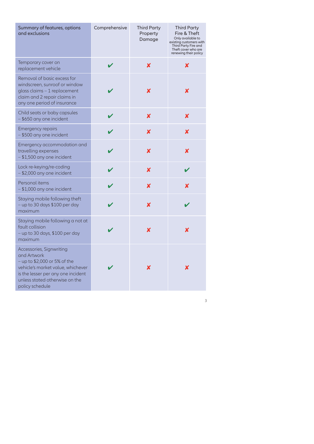| Summary of features, options<br>and exclusions                                                                                                              | Comprehensive | <b>Third Party</b><br>Property<br>Damage | <b>Third Party</b><br>Fire & Theft<br>Only available to<br>existing customers with<br>Third Party Fire and<br>Theft cover who are<br>renewing their policy |
|-------------------------------------------------------------------------------------------------------------------------------------------------------------|---------------|------------------------------------------|------------------------------------------------------------------------------------------------------------------------------------------------------------|
| Temporary cover on<br>replacement vehicle                                                                                                                   | $\checkmark$  | $\boldsymbol{x}$                         | X                                                                                                                                                          |
| Removal of basic excess for<br>windscreen, sunroof or window<br>glass claims - 1 replacement<br>claim and 2 repair claims in<br>any one period of insurance | ✔             | X                                        | x                                                                                                                                                          |
| Child seats or baby capsules<br>- \$650 any one incident                                                                                                    | V             | $\boldsymbol{\mathsf{x}}$                | $\boldsymbol{x}$                                                                                                                                           |
| Emergency repairs<br>- \$500 any one incident                                                                                                               | $\checkmark$  | $\boldsymbol{\mathsf{x}}$                | $\boldsymbol{x}$                                                                                                                                           |
| Emergency accommodation and<br>travelling expenses<br>- \$1,500 any one incident                                                                            | $\mathbf v$   | $\boldsymbol{\mathsf{x}}$                | $\boldsymbol{x}$                                                                                                                                           |
| Lock re-keying/re-coding<br>- \$2,000 any one incident                                                                                                      | $\checkmark$  | $\boldsymbol{\mathsf{x}}$                | $\checkmark$                                                                                                                                               |
| Personal items<br>$-$ \$1,000 any one incident                                                                                                              | V             | $\boldsymbol{\mathsf{x}}$                | $\boldsymbol{x}$                                                                                                                                           |
| Staying mobile following theft<br>- up to 30 days \$100 per day<br>maximum                                                                                  | v             | $\boldsymbol{x}$                         | $\checkmark$                                                                                                                                               |
| Staying mobile following a not at<br>fault collision<br>- up to 30 days, \$100 per day<br>maximum                                                           |               | $\boldsymbol{\mathsf{x}}$                | $\boldsymbol{\mathsf{x}}$                                                                                                                                  |
| Accessories, Signwriting<br>and Artwork<br>$-$ up to \$2,000 or 5% of the<br>vehicle's market value, whichever                                              |               | X                                        | $\boldsymbol{x}$                                                                                                                                           |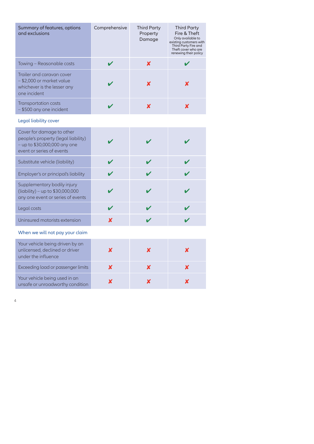| Summary of features, options<br>and exclusions                                                                                  | Comprehensive    | <b>Third Party</b><br>Property<br>Damage | <b>Third Party</b><br>Fire & Theft<br>Only available to<br>existing customers with<br>Third Party Fire and<br>Theft cover who are |
|---------------------------------------------------------------------------------------------------------------------------------|------------------|------------------------------------------|-----------------------------------------------------------------------------------------------------------------------------------|
| Towing - Reasonable costs                                                                                                       | $\checkmark$     | $\boldsymbol{x}$                         | renewing their policy<br>✔                                                                                                        |
| Trailer and caravan cover                                                                                                       |                  |                                          |                                                                                                                                   |
| - \$2,000 or market value<br>whichever is the lesser any<br>one incident                                                        | V                | X                                        | $\boldsymbol{\mathsf{x}}$                                                                                                         |
| Transportation costs<br>- \$500 any one incident                                                                                | $\checkmark$     | $\boldsymbol{\mathsf{x}}$                | $\boldsymbol{x}$                                                                                                                  |
| Legal liability cover                                                                                                           |                  |                                          |                                                                                                                                   |
| Cover for damage to other<br>people's property (legal liability)<br>$-$ up to \$30,000,000 any one<br>event or series of events | V                | $\boldsymbol{\mathcal{U}}$               | ✔                                                                                                                                 |
| Substitute vehicle (liability)                                                                                                  | $\checkmark$     | $\mathbf v$                              | $\checkmark$                                                                                                                      |
| Employer's or principal's liability                                                                                             | $\checkmark$     | $\mathbf v$                              | $\boldsymbol{\mathcal{U}}$                                                                                                        |
| Supplementary bodily injury<br>(liability) - up to \$30,000,000<br>any one event or series of events                            | ✔                | $\mathbf v$                              | $\boldsymbol{\mathcal{U}}$                                                                                                        |
| Legal costs                                                                                                                     | $\mathbf v$      | $\mathbf{v}$                             | $\mathbf v$                                                                                                                       |
| Uninsured motorists extension                                                                                                   | $\boldsymbol{x}$ | $\checkmark$                             | $\boldsymbol{\mathcal{U}}$                                                                                                        |
| When we will not pay your claim                                                                                                 |                  |                                          |                                                                                                                                   |
|                                                                                                                                 |                  |                                          |                                                                                                                                   |
| Your vehicle being driven by an<br>unlicensed, declined or driver<br>under the influence                                        | $\boldsymbol{x}$ | $\boldsymbol{x}$                         | $\boldsymbol{x}$                                                                                                                  |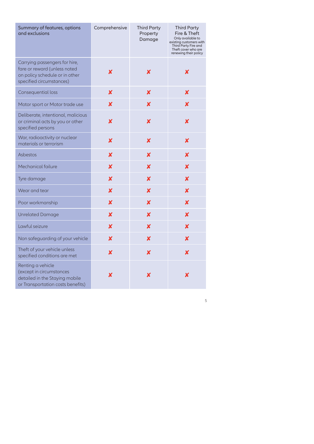| Summary of features, options<br>and exclusions                                                                       | Comprehensive             | <b>Third Party</b><br>Property<br>Damage | <b>Third Party</b><br>Fire & Theft<br>Only available to<br>existing customers with<br>Third Party Fire and<br>Theft cover who are<br>renewing their policy |
|----------------------------------------------------------------------------------------------------------------------|---------------------------|------------------------------------------|------------------------------------------------------------------------------------------------------------------------------------------------------------|
| Carrying passengers for hire,                                                                                        |                           |                                          |                                                                                                                                                            |
| fare or reward (unless noted<br>on policy schedule or in other<br>specified circumstances)                           | x                         | x                                        | x                                                                                                                                                          |
| Consequential loss                                                                                                   | X                         | X                                        | X                                                                                                                                                          |
| Motor sport or Motor trade use                                                                                       | ×                         | X                                        | $\boldsymbol{x}$                                                                                                                                           |
| Deliberate, intentional, malicious<br>or criminal acts by you or other<br>specified persons                          | $\boldsymbol{\mathsf{x}}$ | ×                                        | ×                                                                                                                                                          |
| War, radioactivity or nuclear<br>materials or terrorism                                                              | $\boldsymbol{x}$          | X                                        | X                                                                                                                                                          |
| Asbestos                                                                                                             | X                         | X                                        | $\boldsymbol{x}$                                                                                                                                           |
| Mechanical failure                                                                                                   | X                         | X                                        | $\boldsymbol{x}$                                                                                                                                           |
| Tyre damage                                                                                                          | $\boldsymbol{x}$          | X                                        | X                                                                                                                                                          |
| Wear and tear                                                                                                        | $\boldsymbol{\mathsf{x}}$ | X                                        | X                                                                                                                                                          |
| Poor workmanship                                                                                                     | $\boldsymbol{\mathsf{x}}$ | X                                        | X                                                                                                                                                          |
| <b>Unrelated Damage</b>                                                                                              | X                         | X                                        | X                                                                                                                                                          |
| Lawful seizure                                                                                                       | $\boldsymbol{\mathsf{x}}$ | $\boldsymbol{\mathsf{x}}$                | X                                                                                                                                                          |
| Non safeguarding of your vehicle                                                                                     | $\boldsymbol{\mathsf{x}}$ | $\boldsymbol{\mathsf{x}}$                | X                                                                                                                                                          |
| Theft of your vehicle unless<br>specified conditions are met                                                         | X                         | X                                        | X                                                                                                                                                          |
| Renting a vehicle<br>(except in circumstances<br>detailed in the Staying mobile<br>or Transportation costs benefits) | X                         | X                                        | X                                                                                                                                                          |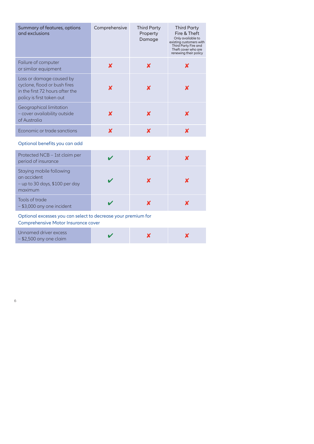| Summary of features, options<br>and exclusions                                                                           | Comprehensive    | <b>Third Party</b><br>Property<br>Damage | <b>Third Party</b><br>Fire & Theft<br>Only available to<br>existing customers with<br>Third Party Fire and<br>Theft cover who are<br>renewing their policy |
|--------------------------------------------------------------------------------------------------------------------------|------------------|------------------------------------------|------------------------------------------------------------------------------------------------------------------------------------------------------------|
| Failure of computer<br>or similar equipment                                                                              | $\boldsymbol{x}$ | $\boldsymbol{x}$                         | X                                                                                                                                                          |
| Loss or damage caused by<br>cyclone, flood or bush fires<br>in the first 72 hours after the<br>policy is first taken out | X                | X                                        | X                                                                                                                                                          |
| Geographical limitation<br>- cover availability outside<br>of Australia                                                  | $\boldsymbol{x}$ | $\boldsymbol{\mathsf{x}}$                | $\boldsymbol{x}$                                                                                                                                           |
| Economic or trade sanctions                                                                                              | $\boldsymbol{x}$ | $\boldsymbol{\mathsf{x}}$                | $\boldsymbol{x}$                                                                                                                                           |
| Optional benefits you can add                                                                                            |                  |                                          |                                                                                                                                                            |
| Protected NCB - 1st claim per<br>period of insurance                                                                     | $\checkmark$     | $\boldsymbol{\mathsf{x}}$                | $\boldsymbol{x}$                                                                                                                                           |
| Staying mobile following<br>an accident<br>- up to 30 days, \$100 per day<br>maximum                                     |                  | $\boldsymbol{\mathsf{x}}$                | $\boldsymbol{\mathsf{x}}$                                                                                                                                  |
| Tools of trade                                                                                                           | V                | $\boldsymbol{\mathsf{x}}$                | $\boldsymbol{x}$                                                                                                                                           |
| - \$3,000 any one incident                                                                                               |                  |                                          |                                                                                                                                                            |
| Optional excesses you can select to decrease your premium for<br>Comprehensive Motor Insurance cover                     |                  |                                          |                                                                                                                                                            |
|                                                                                                                          |                  |                                          |                                                                                                                                                            |

#### Optional benefits you can add

| Protected NCB - 1st claim per<br>period of insurance                                   |  |  |
|----------------------------------------------------------------------------------------|--|--|
| Staying mobile following<br>an accident<br>$-$ up to 30 days, \$100 per day<br>maximum |  |  |
| Tools of trade<br>- \$3,000 any one incident                                           |  |  |

#### Optional excesses you can select to decrease your premium for

| Unnamed driver excess     |  |  |
|---------------------------|--|--|
| $-$ \$2,500 any one claim |  |  |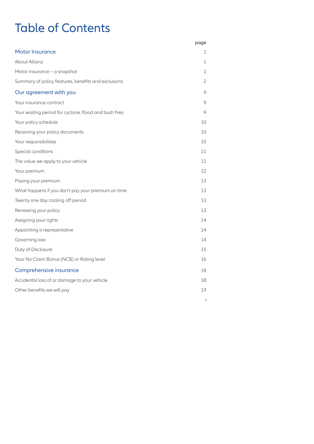# Table of Contents

|                                                       | page           |
|-------------------------------------------------------|----------------|
| <b>Motor Insurance</b>                                | 1              |
| About Allianz                                         | 1              |
| Motor Insurance - a snapshot                          | 1              |
| Summary of policy features, benefits and exclusions   | $\overline{2}$ |
| Our agreement with you                                | 9              |
| Your insurance contract                               | 9              |
| Your waiting period for cyclone, flood and bush fires | 9              |
| Your policy schedule                                  | 10             |
| Receiving your policy documents                       | 10             |
| Your responsibilities                                 | 10             |
| Special conditions                                    | 11             |
| The value we apply to your vehicle                    | 11             |
| Your premium                                          | 12             |
| Paying your premium                                   | 13             |
| What happens if you don't pay your premium on time    | 13             |
| Twenty one day cooling off period                     | 13             |
| Renewing your policy                                  | 13             |
| Assigning your rights                                 | 14             |
| Appointing a representative                           | 14             |
| Governing law                                         | 14             |
| Duty of Disclosure                                    | 15             |
| Your No Claim Bonus (NCB) or Rating level             | 16             |
| Comprehensive insurance                               | 18             |
| Accidental loss of or damage to your vehicle          | 18             |
| Other benefits we will pay                            | 19             |
|                                                       |                |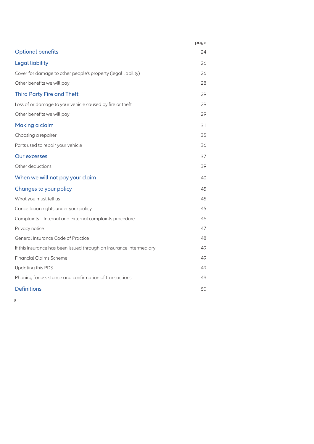|                                                                     | page |
|---------------------------------------------------------------------|------|
| <b>Optional benefits</b>                                            | 24   |
| Legal liability                                                     | 26   |
| Cover for damage to other people's property (legal liability)       | 26   |
| Other benefits we will pay                                          | 28   |
| <b>Third Party Fire and Theft</b>                                   | 29   |
| Loss of or damage to your vehicle caused by fire or theft           | 29   |
| Other benefits we will pay                                          | 29   |
| Making a claim                                                      | 31   |
| Choosing a repairer                                                 | 35   |
| Parts used to repair your vehicle                                   | 36   |
| Our excesses                                                        | 37   |
| Other deductions                                                    | 39   |
| When we will not pay your claim                                     | 40   |
| Changes to your policy                                              | 45   |
| What you must tell us                                               | 45   |
| Cancellation rights under your policy                               | 45   |
| Complaints - Internal and external complaints procedure             | 46   |
| Privacy notice                                                      | 47   |
| General Insurance Code of Practice                                  | 48   |
| If this insurance has been issued through an insurance intermediary | 49   |
| <b>Financial Claims Scheme</b>                                      | 49   |
| Updating this PDS                                                   | 49   |
| Phoning for assistance and confirmation of transactions             | 49   |
| <b>Definitions</b>                                                  | 50   |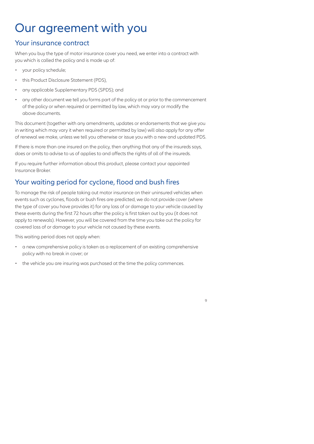# Our agreement with you

#### Your insurance contract

When you buy the type of motor insurance cover you need, we enter into a contract with you which is called the policy and is made up of:

- your policy schedule;
- this Product Disclosure Statement (PDS),
- any applicable Supplementary PDS (SPDS); and
- any other document we tell you forms part of the policy at or prior to the commencement of the policy or when required or permitted by law, which may vary or modify the above documents.

This document (together with any amendments, updates or endorsements that we give you in writing which may vary it when required or permitted by law) will also apply for any offer of renewal we make, unless we tell you otherwise or issue you with a new and updated PDS.

If there is more than one insured on the policy, then anything that any of the insureds says, does or omits to advise to us of applies to and affects the rights of all of the insureds.

If you require further information about this product, please contact your appointed Insurance Broker.

# Your waiting period for cyclone, flood and bush fires

To manage the risk of people taking out motor insurance on their uninsured vehicles when events such as cyclones, floods or bush fires are predicted, we do not provide cover (where the type of cover you have provides it) for any loss of or damage to your vehicle caused by these events during the first 72 hours after the policy is first taken out by you (it does not apply to renewals). However, you will be covered from the time you take out the policy for covered loss of or damage to your vehicle not caused by these events.

This waiting period does not apply when:

- a new comprehensive policy is taken as a replacement of an existing comprehensive policy with no break in cover; or
- the vehicle you are insuring was purchased at the time the policy commences.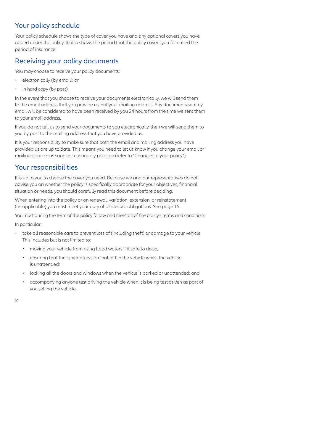# Your policy schedule

Your policy schedule shows the type of cover you have and any optional covers you have added under the policy. It also shows the period that the policy covers you for called the period of insurance.

#### Receiving your policy documents

You may choose to receive your policy documents:

- electronically (by email); or
- in hard copy (by post).

In the event that you choose to receive your documents electronically, we will send them to the email address that you provide us, not your mailing address. Any documents sent by email will be considered to have been received by you 24 hours from the time we sent them to your email address.

If you do not tell us to send your documents to you electronically, then we will send them to you by post to the mailing address that you have provided us.

It is your responsibility to make sure that both the email and mailing address you have provided us are up to date. This means you need to let us know if you change your email or mailing address as soon as reasonably possible (refer to "Changes to your policy").

#### Your responsibilities

It is up to you to choose the cover you need. Because we and our representatives do not advise you on whether the policy is specifically appropriate for your objectives, financial situation or needs, you should carefully read this document before deciding.

When entering into the policy or on renewal, variation, extension, or reinstatement (as applicable) you must meet your duty of disclosure obligations. See page 15.

You must during the term of the policy follow and meet all of the policy's terms and conditions.

In particular:

- take all reasonable care to prevent loss of (including theft) or damage to your vehicle. This includes but is not limited to:
	- moving your vehicle from rising flood waters if it safe to do so;
	- ensuring that the ignition keys are not left in the vehicle whilst the vehicle is unattended;
	- locking all the doors and windows when the vehicle is parked or unattended; and
	- accompanying anyone test driving the vehicle when it is being test driven as part of you selling the vehicle.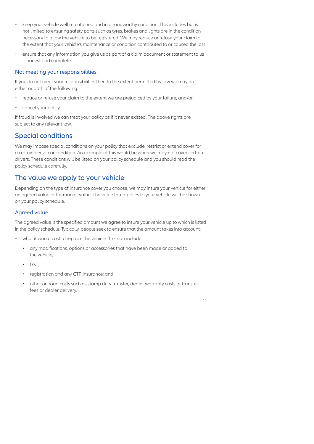- keep your vehicle well maintained and in a roadworthy condition. This includes but is not limited to ensuring safety parts such as tyres, brakes and lights are in the condition necessary to allow the vehicle to be registered. We may reduce or refuse your claim to the extent that your vehicle's maintenance or condition contributed to or caused the loss.
- ensure that any information you give us as part of a claim document or statement to us is honest and complete.

#### Not meeting your responsibilities

If you do not meet your responsibilities then to the extent permitted by law we may do either or both of the following:

- reduce or refuse your claim to the extent we are prejudiced by your failure; and/or
- cancel your policy.

If fraud is involved we can treat your policy as if it never existed. The above rights are subject to any relevant law.

# Special conditions

We may impose special conditions on your policy that exclude, restrict or extend cover for a certain person or condition. An example of this would be when we may not cover certain drivers. These conditions will be listed on your policy schedule and you should read the policy schedule carefully.

### The value we apply to your vehicle

Depending on the type of insurance cover you choose, we may insure your vehicle for either an agreed value or for market value. The value that applies to your vehicle will be shown on your policy schedule.

#### Agreed value

The agreed value is the specified amount we agree to insure your vehicle up to which is listed in the policy schedule. Typically, people seek to ensure that the amount takes into account:

- what it would cost to replace the vehicle. This can include:
	- any modifications, options or accessories that have been made or added to the vehicle;
	- GST;
	- registration and any CTP insurance; and
	- other on road costs such as stamp duty transfer, dealer warranty costs or transfer fees or dealer delivery.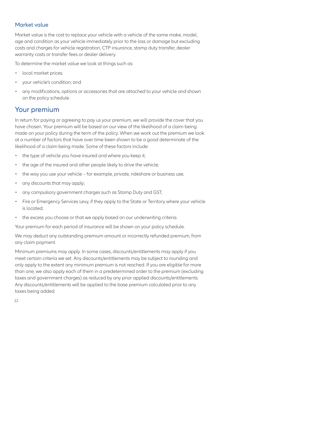#### Market value

Market value is the cost to replace your vehicle with a vehicle of the same make, model, age and condition as your vehicle immediately prior to the loss or damage but excluding costs and charges for vehicle registration, CTP insurance, stamp duty transfer, dealer warranty costs or transfer fees or dealer delivery.

To determine the market value we look at things such as:

- local market prices;
- your vehicle's condition; and
- any modifications, options or accessories that are attached to your vehicle and shown on the policy schedule.

#### Your premium

In return for paying or agreeing to pay us your premium, we will provide the cover that you have chosen. Your premium will be based on our view of the likelihood of a claim being made on your policy during the term of the policy. When we work out the premium we look at a number of factors that have over time been shown to be a good determinate of the likelihood of a claim being made. Some of these factors include:

- the type of vehicle you have insured and where you keep it;
- the age of the insured and other people likely to drive the vehicle;
- the way you use your vehicle for example, private, rideshare or business use;
- any discounts that may apply;
- any compulsory government charges such as Stamp Duty and GST;
- Fire or Emergency Services Levy, if they apply to the State or Territory where your vehicle is located;
- the excess you choose or that we apply based on our underwriting criteria.

Your premium for each period of insurance will be shown on your policy schedule.

We may deduct any outstanding premium amount or incorrectly refunded premium, from any claim payment.

Minimum premiums may apply. In some cases, discounts/entitlements may apply if you meet certain criteria we set. Any discounts/entitlements may be subject to rounding and only apply to the extent any minimum premium is not reached. If you are eligible for more than one, we also apply each of them in a predetermined order to the premium (excluding taxes and government charges) as reduced by any prior applied discounts/entitlements. Any discounts/entitlements will be applied to the base premium calculated prior to any taxes being added.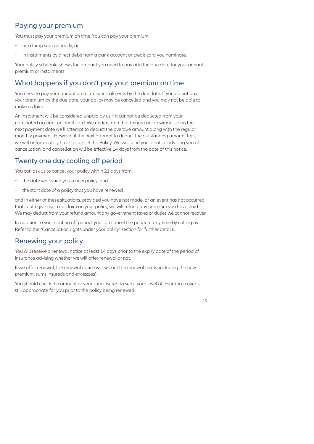# Paying your premium

You must pay your premium on time. You can pay your premium:

- as a lump sum annually; or
- in instalments by direct debit from a bank account or credit card you nominate.

Your policy schedule shows the amount you need to pay and the due date for your annual premium or instalments.

# What happens if you don't pay your premium on time

You need to pay your annual premium or instalments by the due date. If you do not pay your premium by the due date, your policy may be cancelled and you may not be able to make a claim.

An instalment will be considered unpaid by us if it cannot be deducted from your nominated account or credit card. We understand that things can go wrong, so on the next payment date we'll attempt to deduct the overdue amount along with the regular monthly payment. However if the next attempt to deduct the outstanding amount fails, we will unfortunately have to cancel the Policy. We will send you a notice advising you of cancellation, and cancellation will be effective 14 days from the date of this notice.

# Twenty one day cooling off period

You can ask us to cancel your policy within 21 days from:

- the date we issued you a new policy; and
- the start date of a policy that you have renewed,

and in either of these situations, provided you have not made, or an event has not occurred that could give rise to, a claim on your policy, we will refund any premium you have paid. We may deduct from your refund amount any government taxes or duties we cannot recover.

In addition to your cooling off period, you can cancel the policy at any time by calling us. Refer to the "Cancellation rights under your policy" section for further details.

### Renewing your policy

You will receive a renewal notice at least 14 days prior to the expiry date of the period of insurance advising whether we will offer renewal or not.

If we offer renewal, the renewal notice will set out the renewal terms, including the new premium, sums insureds and excess(es).

You should check the amount of your sum insured to see if your level of insurance cover is still appropriate for you prior to the policy being renewed.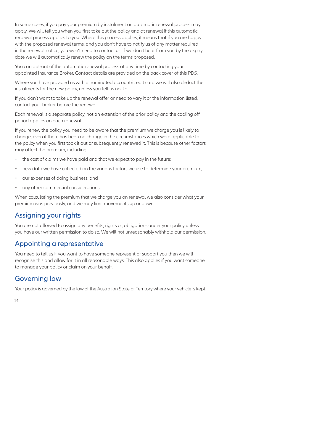In some cases, if you pay your premium by instalment an automatic renewal process may apply. We will tell you when you first take out the policy and at renewal if this automatic renewal process applies to you. Where this process applies, it means that if you are happy with the proposed renewal terms, and you don't have to notify us of any matter required in the renewal notice, you won't need to contact us. If we don't hear from you by the expiry date we will automatically renew the policy on the terms proposed.

You can opt-out of the automatic renewal process at any time by contacting your appointed Insurance Broker. Contact details are provided on the back cover of this PDS.

Where you have provided us with a nominated account/credit card we will also deduct the instalments for the new policy, unless you tell us not to.

If you don't want to take up the renewal offer or need to vary it or the information listed, contact your broker before the renewal.

Each renewal is a separate policy, not an extension of the prior policy and the cooling off period applies on each renewal.

If you renew the policy you need to be aware that the premium we charge you is likely to change, even if there has been no change in the circumstances which were applicable to the policy when you first took it out or subsequently renewed it. This is because other factors may affect the premium, including:

- the cost of claims we have paid and that we expect to pay in the future;
- new data we have collected on the various factors we use to determine your premium;
- our expenses of doing business; and
- any other commercial considerations.

When calculating the premium that we charge you on renewal we also consider what your premium was previously, and we may limit movements up or down.

### Assigning your rights

You are not allowed to assign any benefits, rights or, obligations under your policy unless you have our written permission to do so. We will not unreasonably withhold our permission.

#### Appointing a representative

You need to tell us if you want to have someone represent or support you then we will recognise this and allow for it in all reasonable ways. This also applies if you want someone to manage your policy or claim on your behalf.

### Governing law

Your policy is governed by the law of the Australian State or Territory where your vehicle is kept.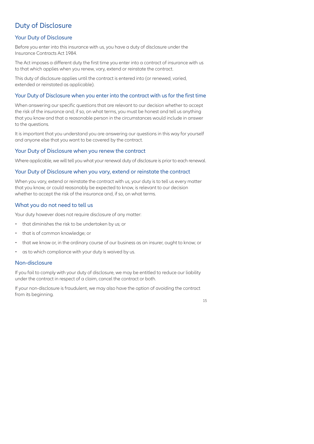# Duty of Disclosure

#### Your Duty of Disclosure

Before you enter into this insurance with us, you have a duty of disclosure under the Insurance Contracts Act 1984.

The Act imposes a different duty the first time you enter into a contract of insurance with us to that which applies when you renew, vary, extend or reinstate the contract.

This duty of disclosure applies until the contract is entered into (or renewed, varied, extended or reinstated as applicable).

#### Your Duty of Disclosure when you enter into the contract with us for the first time

When answering our specific questions that are relevant to our decision whether to accept the risk of the insurance and, if so, on what terms, you must be honest and tell us anything that you know and that a reasonable person in the circumstances would include in answer to the questions.

It is important that you understand you are answering our questions in this way for yourself and anyone else that you want to be covered by the contract.

#### Your Duty of Disclosure when you renew the contract

Where applicable, we will tell you what your renewal duty of disclosure is prior to each renewal.

#### Your Duty of Disclosure when you vary, extend or reinstate the contract

When you vary, extend or reinstate the contract with us, your duty is to tell us every matter that you know, or could reasonably be expected to know, is relevant to our decision whether to accept the risk of the insurance and, if so, on what terms.

#### What you do not need to tell us

Your duty however does not require disclosure of any matter:

- that diminishes the risk to be undertaken by us; or
- that is of common knowledge; or
- that we know or, in the ordinary course of our business as an insurer, ought to know; or
- as to which compliance with your duty is waived by us.

#### Non-disclosure

If you fail to comply with your duty of disclosure, we may be entitled to reduce our liability under the contract in respect of a claim, cancel the contract or both.

If your non-disclosure is fraudulent, we may also have the option of avoiding the contract from its beginning.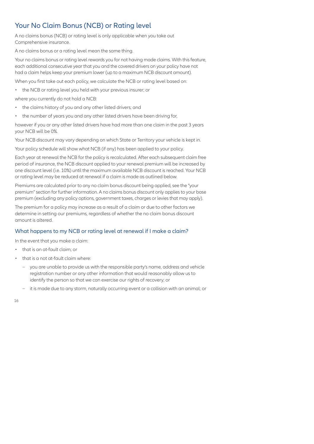# Your No Claim Bonus (NCB) or Rating level

A no claims bonus (NCB) or rating level is only applicable when you take out Comprehensive insurance.

A no claims bonus or a rating level mean the same thing.

Your no claims bonus or rating level rewards you for not having made claims. With this feature, each additional consecutive year that you and the covered drivers on your policy have not had a claim helps keep your premium lower (up to a maximum NCB discount amount).

When you first take out each policy, we calculate the NCB or rating level based on:

• the NCB or rating level you held with your previous insurer; or

where you currently do not hold a NCB:

- the claims history of you and any other listed drivers; and
- the number of years you and any other listed drivers have been driving for,

however if you or any other listed drivers have had more than one claim in the past 3 years your NCB will be 0%.

Your NCB discount may vary depending on which State or Territory your vehicle is kept in.

Your policy schedule will show what NCB (if any) has been applied to your policy.

Each year at renewal the NCB for the policy is recalculated. After each subsequent claim free period of insurance, the NCB discount applied to your renewal premium will be increased by one discount level (i.e. 10%) until the maximum available NCB discount is reached. Your NCB or rating level may be reduced at renewal if a claim is made as outlined below.

Premiums are calculated prior to any no claim bonus discount being applied, see the "your premium" section for further information. A no claims bonus discount only applies to your base premium (excluding any policy options, government taxes, charges or levies that may apply).

The premium for a policy may increase as a result of a claim or due to other factors we determine in setting our premiums, regardless of whether the no claim bonus discount amount is altered.

#### What happens to my NCB or rating level at renewal if I make a claim?

In the event that you make a claim:

- that is an at-fault claim; or
- that is a not at-fault claim where:
	- you are unable to provide us with the responsible party's name, address and vehicle registration number or any other information that would reasonably allow us to identify the person so that we can exercise our rights of recovery; or
	- it is made due to any storm, naturally occurring event or a collision with an animal; or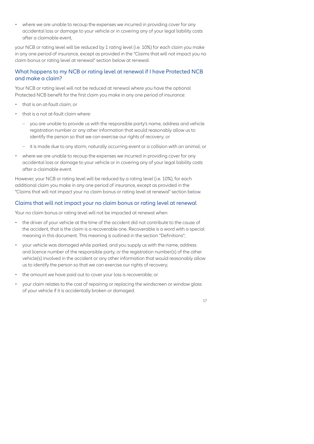• where we are unable to recoup the expenses we incurred in providing cover for any accidental loss or damage to your vehicle or in covering any of your legal liability costs after a claimable event,

your NCB or rating level will be reduced by 1 rating level (i.e. 10%) for each claim you make in any one period of insurance, except as provided in the "Claims that will not impact you no claim bonus or rating level at renewal" section below at renewal.

#### What happens to my NCB or rating level at renewal if I have Protected NCB and make a claim?

Your NCB or rating level will not be reduced at renewal where you have the optional Protected NCB benefit for the first claim you make in any one period of insurance:

- that is an at-fault claim; or
- that is a not at-fault claim where:
	- you are unable to provide us with the responsible party's name, address and vehicle registration number or any other information that would reasonably allow us to identify the person so that we can exercise our rights of recovery; or
	- it is made due to any storm, naturally occurring event or a collision with an animal; or
- where we are unable to recoup the expenses we incurred in providing cover for any accidental loss or damage to your vehicle or in covering any of your legal liability costs after a claimable event.

However, your NCB or rating level will be reduced by a rating level (i.e. 10%), for each additional claim you make in any one period of insurance, except as provided in the "Claims that will not impact your no claim bonus or rating level at renewal" section below.

#### Claims that will not impact your no claim bonus or rating level at renewal

Your no claim bonus or rating level will not be impacted at renewal when:

- the driver of your vehicle at the time of the accident did not contribute to the cause of the accident, that is the claim is a recoverable one. Recoverable is a word with a special meaning in this document. This meaning is outlined in the section "Definitions";
- your vehicle was damaged while parked, and you supply us with the name, address and licence number of the responsible party, or the registration number(s) of the other vehicle(s) involved in the accident or any other information that would reasonably allow us to identify the person so that we can exercise our rights of recovery;
- the amount we have paid out to cover your loss is recoverable; or
- your claim relates to the cost of repairing or replacing the windscreen or window glass of your vehicle if it is accidentally broken or damaged.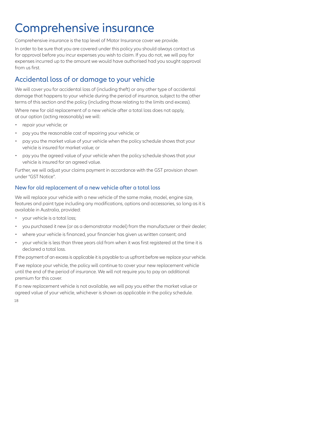# Comprehensive insurance

Comprehensive insurance is the top level of Motor Insurance cover we provide.

In order to be sure that you are covered under this policy you should always contact us for approval before you incur expenses you wish to claim. If you do not, we will pay for expenses incurred up to the amount we would have authorised had you sought approval from us first.

# Accidental loss of or damage to your vehicle

We will cover you for accidental loss of (including theft) or any other type of accidental damage that happens to your vehicle during the period of insurance, subject to the other terms of this section and the policy (including those relating to the limits and excess).

Where new for old replacement of a new vehicle after a total loss does not apply, at our option (acting reasonably) we will:

- repair your vehicle; or
- pay you the reasonable cost of repairing your vehicle; or
- pay you the market value of your vehicle when the policy schedule shows that your vehicle is insured for market value; or
- pay you the agreed value of your vehicle when the policy schedule shows that your vehicle is insured for an agreed value.

Further, we will adjust your claims payment in accordance with the GST provision shown under "GST Notice".

#### New for old replacement of a new vehicle after a total loss

We will replace your vehicle with a new vehicle of the same make, model, engine size, features and paint type including any modifications, options and accessories, so long as it is available in Australia, provided:

- your vehicle is a total loss;
- you purchased it new (or as a demonstrator model) from the manufacturer or their dealer;
- where your vehicle is financed, your financier has given us written consent; and
- your vehicle is less than three years old from when it was first registered at the time it is declared a total loss.

If the payment of an excess is applicable it is payable to us upfront before we replace your vehicle.

If we replace your vehicle, the policy will continue to cover your new replacement vehicle until the end of the period of insurance. We will not require you to pay an additional premium for this cover.

If a new replacement vehicle is not available, we will pay you either the market value or agreed value of your vehicle, whichever is shown as applicable in the policy schedule.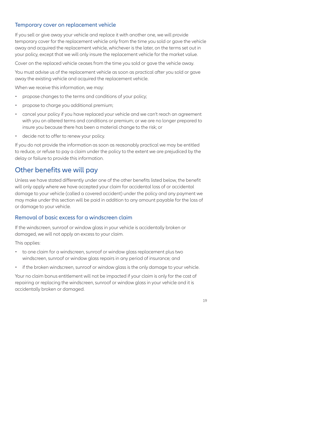#### Temporary cover on replacement vehicle

If you sell or give away your vehicle and replace it with another one, we will provide temporary cover for the replacement vehicle only from the time you sold or gave the vehicle away and acquired the replacement vehicle, whichever is the later, on the terms set out in your policy, except that we will only insure the replacement vehicle for the market value.

Cover on the replaced vehicle ceases from the time you sold or gave the vehicle away.

You must advise us of the replacement vehicle as soon as practical after you sold or gave away the existing vehicle and acquired the replacement vehicle.

When we receive this information, we may:

- propose changes to the terms and conditions of your policy;
- propose to charge you additional premium;
- cancel your policy if you have replaced your vehicle and we can't reach an agreement with you on altered terms and conditions or premium; or we are no longer prepared to insure you because there has been a material change to the risk; or
- decide not to offer to renew your policy.

If you do not provide the information as soon as reasonably practical we may be entitled to reduce, or refuse to pay a claim under the policy to the extent we are prejudiced by the delay or failure to provide this information.

### Other benefits we will pay

Unless we have stated differently under one of the other benefits listed below, the benefit will only apply where we have accepted your claim for accidental loss of or accidental damage to your vehicle (called a covered accident) under the policy and any payment we may make under this section will be paid in addition to any amount payable for the loss of or damage to your vehicle.

#### Removal of basic excess for a windscreen claim

If the windscreen, sunroof or window glass in your vehicle is accidentally broken or damaged, we will not apply an excess to your claim.

This applies:

- to one claim for a windscreen, sunroof or window glass replacement plus two windscreen, sunroof or window glass repairs in any period of insurance; and
- if the broken windscreen, sunroof or window glass is the only damage to your vehicle.

Your no claim bonus entitlement will not be impacted if your claim is only for the cost of repairing or replacing the windscreen, sunroof or window glass in your vehicle and it is accidentally broken or damaged.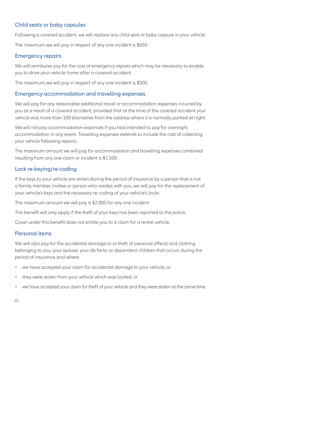#### Child seats or baby capsules

Following a covered accident, we will replace any child seat or baby capsule in your vehicle.

The maximum we will pay in respect of any one incident is \$650.

#### Emergency repairs

We will reimburse you for the cost of emergency repairs which may be necessary to enable you to drive your vehicle home after a covered accident.

The maximum we will pay in respect of any one incident is \$500.

#### Emergency accommodation and travelling expenses

We will pay for any reasonable additional travel or accommodation expenses incurred by you as a result of a covered accident, provided that at the time of the covered accident your vehicle was more than 100 kilometres from the address where it is normally parked at night.

We will not pay accommodation expenses if you had intended to pay for overnight accommodation in any event. Travelling expenses extends to include the cost of collecting your vehicle following repairs.

The maximum amount we will pay for accommodation and travelling expenses combined resulting from any one claim or incident is \$1,500.

#### Lock re-keying/re-coding

If the keys to your vehicle are stolen during the period of insurance by a person that is not a family member, invitee or person who resides with you, we will pay for the replacement of your vehicle's keys and the necessary re-coding of your vehicle's locks.

The maximum amount we will pay is \$2,000 for any one incident.

This benefit will only apply if the theft of your keys has been reported to the police.

Cover under this benefit does not entitle you to a claim for a rental vehicle.

#### Personal items

We will also pay for the accidental damage to or theft of personal effects and clothing belonging to you, your spouse, your de facto or dependent children that occurs during the period of insurance and where:

- we have accepted your claim for accidental damage to your vehicle; or
- they were stolen from your vehicle which was locked; or
- we have accepted your claim for theft of your vehicle and they were stolen at the same time. $\bullet$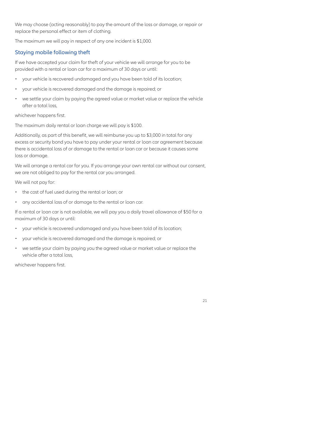We may choose (acting reasonably) to pay the amount of the loss or damage, or repair or replace the personal effect or item of clothing.

The maximum we will pay in respect of any one incident is \$1,000.

#### Staying mobile following theft

If we have accepted your claim for theft of your vehicle we will arrange for you to be provided with a rental or loan car for a maximum of 30 days or until:

- your vehicle is recovered undamaged and you have been told of its location;
- your vehicle is recovered damaged and the damage is repaired; or
- we settle your claim by paying the agreed value or market value or replace the vehicle after a total loss,

whichever happens first.

The maximum daily rental or loan charge we will pay is \$100.

Additionally, as part of this benefit, we will reimburse you up to \$3,000 in total for any excess or security bond you have to pay under your rental or loan car agreement because there is accidental loss of or damage to the rental or loan car or because it causes some loss or damage.

We will arrange a rental car for you. If you arrange your own rental car without our consent, we are not obliged to pay for the rental car you arranged.

We will not pay for:

- the cost of fuel used during the rental or loan; or
- any accidental loss of or damage to the rental or loan car.

If a rental or loan car is not available, we will pay you a daily travel allowance of \$50 for a maximum of 30 days or until:

- your vehicle is recovered undamaged and you have been told of its location;
- your vehicle is recovered damaged and the damage is repaired; or
- we settle your claim by paying you the agreed value or market value or replace the vehicle after a total loss,

whichever happens first.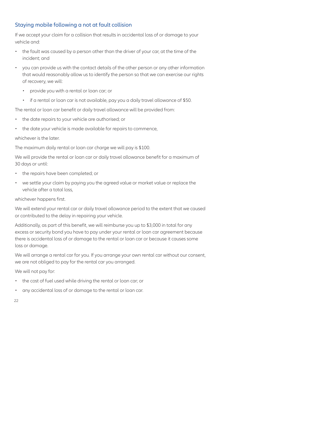#### Staying mobile following a not at fault collision

If we accept your claim for a collision that results in accidental loss of or damage to your vehicle and:

- the fault was caused by a person other than the driver of your car, at the time of the incident; and
- you can provide us with the contact details of the other person or any other information that would reasonably allow us to identify the person so that we can exercise our rights of recovery, we will:
	- provide you with a rental or loan car; or
	- if a rental or loan car is not available, pay you a daily travel allowance of \$50.

The rental or loan car benefit or daily travel allowance will be provided from:

- the date repairs to your vehicle are authorised; or
- the date your vehicle is made available for repairs to commence,

whichever is the later.

The maximum daily rental or loan car charge we will pay is \$100.

We will provide the rental or loan car or daily travel allowance benefit for a maximum of 30 days or until:

- the repairs have been completed; or
- we settle your claim by paying you the agreed value or market value or replace the vehicle after a total loss,

whichever happens first.

We will extend your rental car or daily travel allowance period to the extent that we caused or contributed to the delay in repairing your vehicle.

Additionally, as part of this benefit, we will reimburse you up to \$3,000 in total for any excess or security bond you have to pay under your rental or loan car agreement because there is accidental loss of or damage to the rental or loan car or because it causes some loss or damage.

We will arrange a rental car for you. If you arrange your own rental car without our consent, we are not obliged to pay for the rental car you arranged.

We will not pay for:

- the cost of fuel used while driving the rental or loan car; or
- any accidental loss of or damage to the rental or loan car.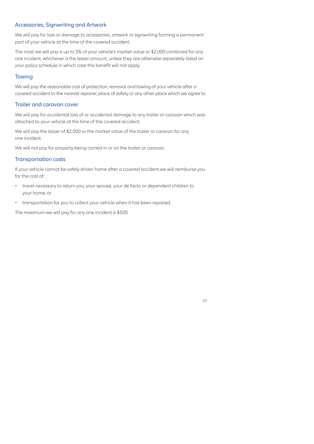#### Accessories, Signwriting and Artwork

We will pay for loss or damage to accessories, artwork or signwriting forming a permanent part of your vehicle at the time of the covered accident.

The most we will pay is up to 5% of your vehicle's market value or \$2,000 combined for any one incident, whichever is the lesser amount, unless they are otherwise separately listed on your policy schedule in which case this benefit will not apply.

#### **Towing**

We will pay the reasonable cost of protection, removal and towing of your vehicle after a covered accident to the nearest repairer, place of safety or any other place which we agree to.

#### Trailer and caravan cover

We will pay for accidental loss of or accidental damage to any trailer or caravan which was attached to your vehicle at the time of the covered accident.

We will pay the lesser of \$2,000 or the market value of the trailer or caravan for any one incident.

We will not pay for property being carried in or on the trailer or caravan.

#### Transportation costs

If your vehicle cannot be safely driven home after a covered accident we will reimburse you for the cost of:

- travel necessary to return you, your spouse, your de facto or dependent children to your home; or
- transportation for you to collect your vehicle when it has been repaired.

The maximum we will pay for any one incident is \$500.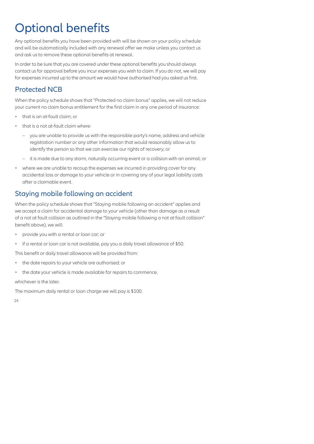# Optional benefits

Any optional benefits you have been provided with will be shown on your policy schedule and will be automatically included with any renewal offer we make unless you contact us and ask us to remove these optional benefits at renewal.

In order to be sure that you are covered under these optional benefits you should always contact us for approval before you incur expenses you wish to claim. If you do not, we will pay for expenses incurred up to the amount we would have authorised had you asked us first.

# Protected NCB

When the policy schedule shows that "Protected no claim bonus" applies, we will not reduce your current no claim bonus entitlement for the first claim in any one period of insurance:

- that is an at-fault claim; or
- that is a not at-fault claim where:
	- you are unable to provide us with the responsible party's name, address and vehicle registration number or any other information that would reasonably allow us to identify the person so that we can exercise our rights of recovery; or
	- it is made due to any storm, naturally occurring event or a collision with an animal; or
- where we are unable to recoup the expenses we incurred in providing cover for any accidental loss or damage to your vehicle or in covering any of your legal liability costs after a claimable event.

### Staying mobile following an accident

When the policy schedule shows that "Staying mobile following an accident" applies and we accept a claim for accidental damage to your vehicle (other than damage as a result of a not at fault collision as outlined in the "Staying mobile following a not at fault collision" benefit above), we will:

- provide you with a rental or loan car; or
- if a rental or loan car is not available, pay you a daily travel allowance of \$50.

This benefit or daily travel allowance will be provided from:

- the date repairs to your vehicle are authorised; or
- the date your vehicle is made available for repairs to commence,

whichever is the later.

The maximum daily rental or loan charge we will pay is \$100.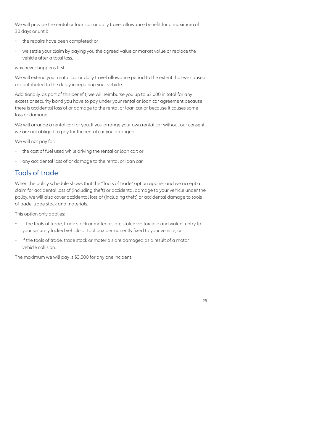We will provide the rental or loan car or daily travel allowance benefit for a maximum of 30 days or until:

- the repairs have been completed; or
- we settle your claim by paying you the agreed value or market value or replace the vehicle after a total loss,

whichever happens first.

We will extend your rental car or daily travel allowance period to the extent that we caused or contributed to the delay in repairing your vehicle.

Additionally, as part of this benefit, we will reimburse you up to \$3,000 in total for any excess or security bond you have to pay under your rental or loan car agreement because there is accidental loss of or damage to the rental or loan car or because it causes some loss or damage.

We will arrange a rental car for you. If you arrange your own rental car without our consent, we are not obliged to pay for the rental car you arranged.

We will not pay for:

- the cost of fuel used while driving the rental or loan car; or
- any accidental loss of or damage to the rental or loan car.

### Tools of trade

When the policy schedule shows that the "Tools of trade" option applies and we accept a claim for accidental loss of (including theft) or accidental damage to your vehicle under the policy, we will also cover accidental loss of (including theft) or accidental damage to tools of trade, trade stock and materials.

This option only applies:

- if the tools of trade, trade stock or materials are stolen via forcible and violent entry to your securely locked vehicle or tool box permanently fixed to your vehicle; or
- if the tools of trade, trade stock or materials are damaged as a result of a motor vehicle collision.

The maximum we will pay is \$3,000 for any one incident.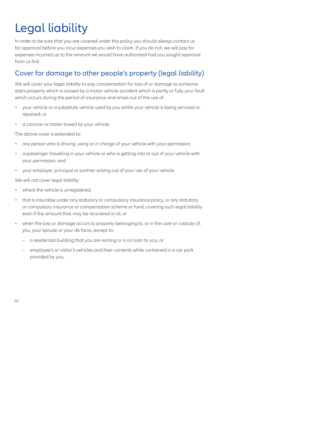# Legal liability

In order to be sure that you are covered under this policy you should always contact us for approval before you incur expenses you wish to claim. If you do not, we will pay for expenses incurred up to the amount we would have authorised had you sought approval from us first.

# Cover for damage to other people's property (legal liability)

We will cover your legal liability to pay compensation for loss of or damage to someone else's property which is caused by a motor vehicle accident which is partly or fully your fault which occurs during the period of insurance and arises out of the use of:

- your vehicle or a substitute vehicle used by you whilst your vehicle is being serviced or repaired; or
- a caravan or trailer towed by your vehicle.

The above cover is extended to:

- any person who is driving, using or in charge of your vehicle with your permission;
- a passenger travelling in your vehicle or who is getting into or out of your vehicle with your permission; and
- your employer, principal or partner arising out of your use of your vehicle.

We will not cover legal liability:

- where the vehicle is unregistered;
- that is insurable under any statutory or compulsory insurance policy, or any statutory or compulsory insurance or compensation scheme or fund, covering such legal liability even if the amount that may be recovered is nil; or
- when the loss or damage occurs to property belonging to, or in the care or custody of, you, your spouse or your de facto, except to:
	- a residential building that you are renting or is on loan to you; or
	- employee's or visitor's vehicles and their contents while contained in a car park provided by you.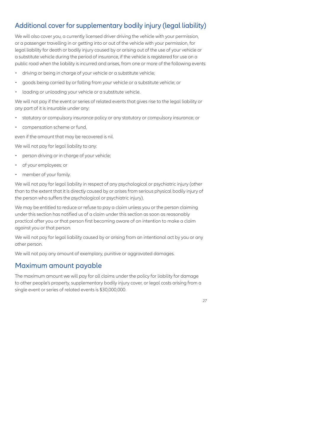# Additional cover for supplementary bodily injury (legal liability)

We will also cover you, a currently licensed driver driving the vehicle with your permission, or a passenger travelling in or getting into or out of the vehicle with your permission, for legal liability for death or bodily injury caused by or arising out of the use of your vehicle or a substitute vehicle during the period of insurance, if the vehicle is registered for use on a public road when the liability is incurred and arises, from one or more of the following events:

- driving or being in charge of your vehicle or a substitute vehicle;
- goods being carried by or falling from your vehicle or a substitute vehicle; or
- loading or unloading your vehicle or a substitute vehicle.

We will not pay if the event or series of related events that gives rise to the legal liability or any part of it is insurable under any:

- statutory or compulsory insurance policy or any statutory or compulsory insurance; or
- compensation scheme or fund,

even if the amount that may be recovered is nil.

We will not pay for legal liability to any:

- person driving or in charge of your vehicle;
- of your employees; or
- member of your family.

We will not pay for legal liability in respect of any psychological or psychiatric injury (other than to the extent that it is directly caused by or arises from serious physical bodily injury of the person who suffers the psychological or psychiatric injury).

We may be entitled to reduce or refuse to pay a claim unless you or the person claiming under this section has notified us of a claim under this section as soon as reasonably practical after you or that person first becoming aware of an intention to make a claim against you or that person.

We will not pay for legal liability caused by or arising from an intentional act by you or any other person.

We will not pay any amount of exemplary, punitive or aggravated damages.

#### Maximum amount payable

The maximum amount we will pay for all claims under the policy for liability for damage to other people's property, supplementary bodily injury cover, or legal costs arising from a single event or series of related events is \$30,000,000.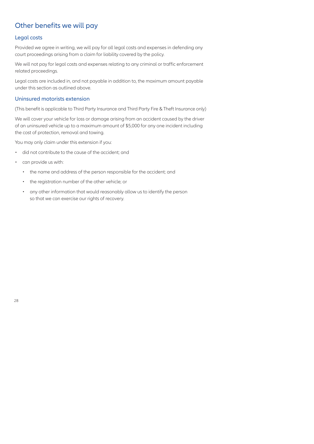# Other benefits we will pay

#### Legal costs

Provided we agree in writing, we will pay for all legal costs and expenses in defending any court proceedings arising from a claim for liability covered by the policy.

We will not pay for legal costs and expenses relating to any criminal or traffic enforcement related proceedings.

Legal costs are included in, and not payable in addition to, the maximum amount payable under this section as outlined above.

#### Uninsured motorists extension

(This benefit is applicable to Third Party Insurance and Third Party Fire & Theft Insurance only)

We will cover your vehicle for loss or damage arising from an accident caused by the driver of an uninsured vehicle up to a maximum amount of \$5,000 for any one incident including the cost of protection, removal and towing.

You may only claim under this extension if you:

- did not contribute to the cause of the accident; and
- can provide us with:
	- the name and address of the person responsible for the accident; and
	- the registration number of the other vehicle; or
	- any other information that would reasonably allow us to identify the person so that we can exercise our rights of recovery.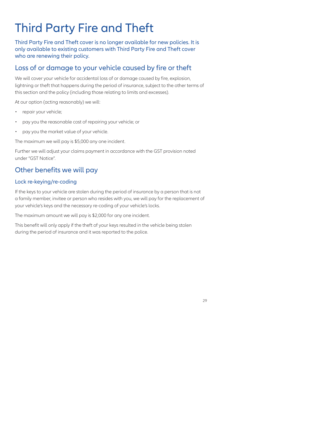# Third Party Fire and Theft

Third Party Fire and Theft cover is no longer available for new policies. It is only available to existing customers with Third Party Fire and Theft cover who are renewing their policy.

# Loss of or damage to your vehicle caused by fire or theft

We will cover your vehicle for accidental loss of or damage caused by fire, explosion, lightning or theft that happens during the period of insurance, subject to the other terms of this section and the policy (including those relating to limits and excesses).

At our option (acting reasonably) we will:

- repair your vehicle:
- pay you the reasonable cost of repairing your vehicle; or
- pay you the market value of your vehicle.

The maximum we will pay is \$5,000 any one incident.

Further we will adjust your claims payment in accordance with the GST provision noted under "GST Notice".

# Other benefits we will pay

#### Lock re-keying/re-coding

If the keys to your vehicle are stolen during the period of insurance by a person that is not a family member, invitee or person who resides with you, we will pay for the replacement of your vehicle's keys and the necessary re-coding of your vehicle's locks.

The maximum amount we will pay is \$2,000 for any one incident.

This benefit will only apply if the theft of your keys resulted in the vehicle being stolen during the period of insurance and it was reported to the police.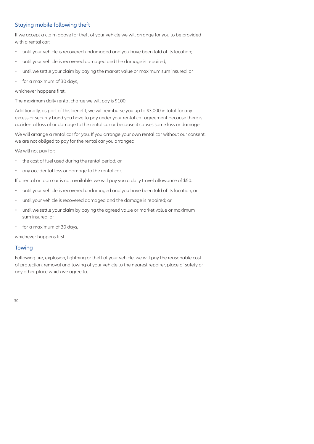#### Staying mobile following theft

If we accept a claim above for theft of your vehicle we will arrange for you to be provided with a rental car:

- until your vehicle is recovered undamaged and you have been told of its location;
- until your vehicle is recovered damaged and the damage is repaired;
- until we settle your claim by paying the market value or maximum sum insured; or
- for a maximum of 30 days,

whichever happens first.

The maximum daily rental charge we will pay is \$100.

Additionally, as part of this benefit, we will reimburse you up to \$3,000 in total for any excess or security bond you have to pay under your rental car agreement because there is accidental loss of or damage to the rental car or because it causes some loss or damage.

We will arrange a rental car for you. If you arrange your own rental car without our consent, we are not obliged to pay for the rental car you arranged.

We will not pay for:

- the cost of fuel used during the rental period; or
- any accidental loss or damage to the rental car.

If a rental or loan car is not available, we will pay you a daily travel allowance of \$50:

- until your vehicle is recovered undamaged and you have been told of its location; or
- until your vehicle is recovered damaged and the damage is repaired; or
- until we settle your claim by paying the agreed value or market value or maximum sum insured; or
- for a maximum of 30 days,

whichever happens first.

#### **Towing**

Following fire, explosion, lightning or theft of your vehicle, we will pay the reasonable cost of protection, removal and towing of your vehicle to the nearest repairer, place of safety or any other place which we agree to.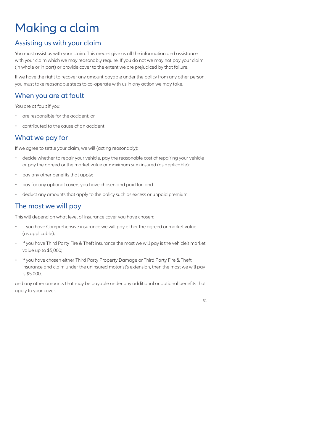# Making a claim

# Assisting us with your claim

You must assist us with your claim. This means give us all the information and assistance with your claim which we may reasonably require. If you do not we may not pay your claim (in whole or in part) or provide cover to the extent we are prejudiced by that failure.

If we have the right to recover any amount payable under the policy from any other person, you must take reasonable steps to co-operate with us in any action we may take.

# When you are at fault

You are at fault if you:

- are responsible for the accident; or
- contributed to the cause of an accident.

# What we pay for

If we agree to settle your claim, we will (acting reasonably):

- decide whether to repair your vehicle, pay the reasonable cost of repairing your vehicle or pay the agreed or the market value or maximum sum insured (as applicable);
- pay any other benefits that apply;
- pay for any optional covers you have chosen and paid for; and
- deduct any amounts that apply to the policy such as excess or unpaid premium.

# The most we will pay

This will depend on what level of insurance cover you have chosen:

- if you have Comprehensive insurance we will pay either the agreed or market value (as applicable);
- if you have Third Party Fire & Theft insurance the most we will pay is the vehicle's market value up to \$5,000;
- if you have chosen either Third Party Property Damage or Third Party Fire & Theft insurance and claim under the uninsured motorist's extension, then the most we will pay is \$5,000,

and any other amounts that may be payable under any additional or optional benefits that apply to your cover.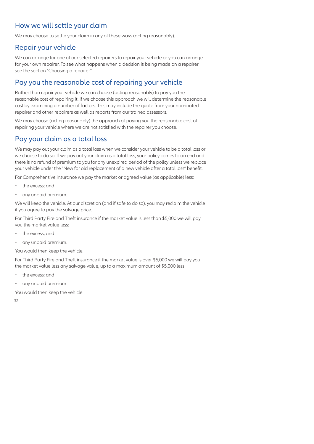# How we will settle your claim

We may choose to settle your claim in any of these ways (acting reasonably).

### Repair your vehicle

We can arrange for one of our selected repairers to repair your vehicle or you can arrange for your own repairer. To see what happens when a decision is being made on a repairer see the section "Choosing a repairer".

# Pay you the reasonable cost of repairing your vehicle

Rather than repair your vehicle we can choose (acting reasonably) to pay you the reasonable cost of repairing it. If we choose this approach we will determine the reasonable cost by examining a number of factors. This may include the quote from your nominated repairer and other repairers as well as reports from our trained assessors.

We may choose (acting reasonably) the approach of paying you the reasonable cost of repairing your vehicle where we are not satisfied with the repairer you choose.

# Pay your claim as a total loss

We may pay out your claim as a total loss when we consider your vehicle to be a total loss or we choose to do so. If we pay out your claim as a total loss, your policy comes to an end and there is no refund of premium to you for any unexpired period of the policy unless we replace your vehicle under the "New for old replacement of a new vehicle after a total loss" benefit.

For Comprehensive insurance we pay the market or agreed value (as applicable) less:

- the excess; and
- any unpaid premium.

We will keep the vehicle. At our discretion (and if safe to do so), you may reclaim the vehicle if you agree to pay the salvage price.

For Third Party Fire and Theft insurance if the market value is less than \$5,000 we will pay you the market value less:

- the excess; and
- any unpaid premium.

You would then keep the vehicle.

For Third Party Fire and Theft insurance if the market value is over \$5,000 we will pay you the market value less any salvage value, up to a maximum amount of \$5,000 less:

- the excess; and
- any unpaid premium

You would then keep the vehicle.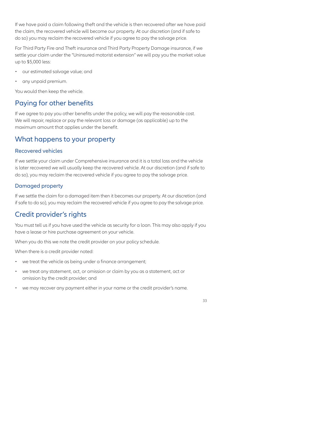If we have paid a claim following theft and the vehicle is then recovered after we have paid the claim, the recovered vehicle will become our property. At our discretion (and if safe to do so) you may reclaim the recovered vehicle if you agree to pay the salvage price.

For Third Party Fire and Theft insurance and Third Party Property Damage insurance, if we settle your claim under the "Uninsured motorist extension" we will pay you the market value up to \$5,000 less:

- our estimated salvage value; and
- any unpaid premium.

You would then keep the vehicle.

# Paying for other benefits

If we agree to pay you other benefits under the policy, we will pay the reasonable cost. We will repair, replace or pay the relevant loss or damage (as applicable) up to the maximum amount that applies under the benefit

#### What happens to your property

#### Recovered vehicles

If we settle your claim under Comprehensive insurance and it is a total loss and the vehicle is later recovered we will usually keep the recovered vehicle. At our discretion (and if safe to do so), you may reclaim the recovered vehicle if you agree to pay the salvage price.

#### Damaged property

If we settle the claim for a damaged item then it becomes our property. At our discretion (and if safe to do so), you may reclaim the recovered vehicle if you agree to pay the salvage price.

# Credit provider's rights

You must tell us if you have used the vehicle as security for a loan. This may also apply if you have a lease or hire purchase agreement on your vehicle.

When you do this we note the credit provider on your policy schedule.

When there is a credit provider noted:

- we treat the vehicle as being under a finance arrangement;
- we treat any statement, act, or omission or claim by you as a statement, act or omission by the credit provider; and
- we may recover any payment either in your name or the credit provider's name.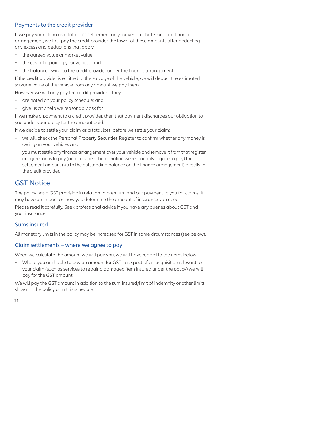#### Payments to the credit provider

If we pay your claim as a total loss settlement on your vehicle that is under a finance arrangement, we first pay the credit provider the lower of these amounts after deducting any excess and deductions that apply:

- the agreed value or market value;
- the cost of repairing your vehicle; and
- the balance owing to the credit provider under the finance arrangement.

If the credit provider is entitled to the salvage of the vehicle, we will deduct the estimated salvage value of the vehicle from any amount we pay them.

However we will only pay the credit provider if they:

- are noted on your policy schedule; and
- give us any help we reasonably ask for.

If we make a payment to a credit provider, then that payment discharges our obligation to you under your policy for the amount paid.

If we decide to settle your claim as a total loss, before we settle your claim:

- we will check the Personal Property Securities Register to confirm whether any money is owing on your vehicle; and
- you must settle any finance arrangement over your vehicle and remove it from that register or agree for us to pay (and provide all information we reasonably require to pay) the settlement amount (up to the outstanding balance on the finance arrangement) directly to the credit provider.

# GST Notice

The policy has a GST provision in relation to premium and our payment to you for claims. It may have an impact on how you determine the amount of insurance you need.

Please read it carefully. Seek professional advice if you have any queries about GST and your insurance.

#### Sums insured

All monetary limits in the policy may be increased for GST in some circumstances (see below).

#### Claim settlements – where we agree to pay

When we calculate the amount we will pay you, we will have regard to the items below:

• Where you are liable to pay an amount for GST in respect of an acquisition relevant to your claim (such as services to repair a damaged item insured under the policy) we will pay for the GST amount.

We will pay the GST amount in addition to the sum insured/limit of indemnity or other limits shown in the policy or in this schedule.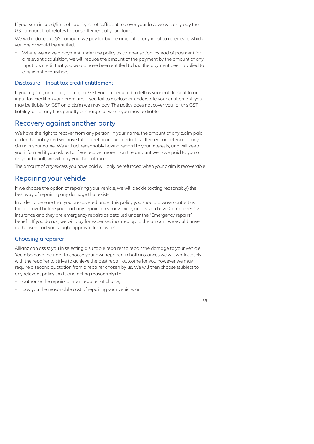If your sum insured/limit of liability is not sufficient to cover your loss, we will only pay the GST amount that relates to our settlement of your claim.

We will reduce the GST amount we pay for by the amount of any input tax credits to which you are or would be entitled.

• Where we make a payment under the policy as compensation instead of payment for a relevant acquisition, we will reduce the amount of the payment by the amount of any input tax credit that you would have been entitled to had the payment been applied to a relevant acquisition.

#### Disclosure – Input tax credit entitlement

If you register, or are registered, for GST you are required to tell us your entitlement to an input tax credit on your premium. If you fail to disclose or understate your entitlement, you may be liable for GST on a claim we may pay. The policy does not cover you for this GST liability, or for any fine, penalty or charge for which you may be liable.

#### Recovery against another party

We have the right to recover from any person, in your name, the amount of any claim paid under the policy and we have full discretion in the conduct, settlement or defence of any claim in your name. We will act reasonably having regard to your interests, and will keep you informed if you ask us to. If we recover more than the amount we have paid to you or on your behalf, we will pay you the balance.

The amount of any excess you have paid will only be refunded when your claim is recoverable.

#### Repairing your vehicle

If we choose the option of repairing your vehicle, we will decide (acting reasonably) the best way of repairing any damage that exists.

In order to be sure that you are covered under this policy you should always contact us for approval before you start any repairs on your vehicle, unless you have Comprehensive insurance and they are emergency repairs as detailed under the "Emergency repairs" benefit. If you do not, we will pay for expenses incurred up to the amount we would have authorised had you sought approval from us first.

#### Choosing a repairer

Allianz can assist you in selecting a suitable repairer to repair the damage to your vehicle. You also have the right to choose your own repairer. In both instances we will work closely with the repairer to strive to achieve the best repair outcome for you however we may require a second quotation from a repairer chosen by us. We will then choose (subject to any relevant policy limits and acting reasonably) to:

- authorise the repairs at your repairer of choice;
- pay you the reasonable cost of repairing your vehicle; or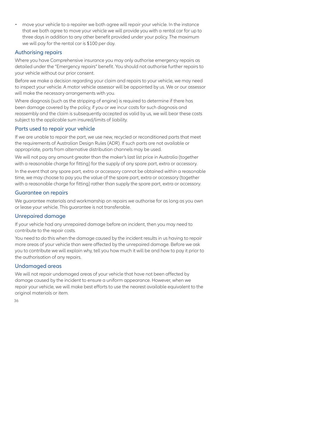• move your vehicle to a repairer we both agree will repair your vehicle. In the instance that we both agree to move your vehicle we will provide you with a rental car for up to three days in addition to any other benefit provided under your policy. The maximum we will pay for the rental car is \$100 per day.

#### Authorising repairs

Where you have Comprehensive insurance you may only authorise emergency repairs as detailed under the "Emergency repairs" benefit. You should not authorise further repairs to your vehicle without our prior consent.

Before we make a decision regarding your claim and repairs to your vehicle, we may need to inspect your vehicle. A motor vehicle assessor will be appointed by us. We or our assessor will make the necessary arrangements with you.

Where diagnosis (such as the stripping of engine) is required to determine if there has been damage covered by the policy, if you or we incur costs for such diagnosis and reassembly and the claim is subsequently accepted as valid by us, we will bear these costs subject to the applicable sum insured/limits of liability.

#### Parts used to repair your vehicle

If we are unable to repair the part, we use new, recycled or reconditioned parts that meet the requirements of Australian Design Rules (ADR). If such parts are not available or appropriate, parts from alternative distribution channels may be used.

We will not pay any amount greater than the maker's last list price in Australia (together with a reasonable charge for fitting) for the supply of any spare part, extra or accessory.

In the event that any spare part, extra or accessory cannot be obtained within a reasonable time, we may choose to pay you the value of the spare part, extra or accessory (together with a reasonable charge for fitting) rather than supply the spare part, extra or accessory.

#### Guarantee on repairs

We guarantee materials and workmanship on repairs we authorise for as long as you own or lease your vehicle. This guarantee is not transferable.

#### Unrepaired damage

If your vehicle had any unrepaired damage before an incident, then you may need to contribute to the repair costs.

You need to do this when the damage caused by the incident results in us having to repair more areas of your vehicle than were affected by the unrepaired damage. Before we ask you to contribute we will explain why, tell you how much it will be and how to pay it prior to the authorisation of any repairs.

#### Undamaged areas

We will not repair undamaged areas of your vehicle that have not been affected by damage caused by the incident to ensure a uniform appearance. However, when we repair your vehicle, we will make best efforts to use the nearest available equivalent to the original materials or item.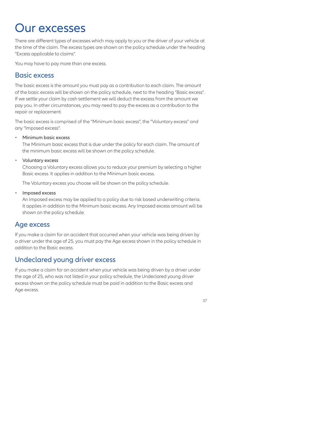# Our excesses

There are different types of excesses which may apply to you or the driver of your vehicle at the time of the claim. The excess types are shown on the policy schedule under the heading "Excess applicable to claims".

You may have to pay more than one excess.

#### Basic excess

The basic excess is the amount you must pay as a contribution to each claim. The amount of the basic excess will be shown on the policy schedule, next to the heading "Basic excess". If we settle your claim by cash settlement we will deduct the excess from the amount we pay you. In other circumstances, you may need to pay the excess as a contribution to the repair or replacement.

The basic excess is comprised of the "Minimum basic excess", the "Voluntary excess" and any "Imposed excess".

Minimum basic excess

The Minimum basic excess that is due under the policy for each claim. The amount of the minimum basic excess will be shown on the policy schedule.

Voluntary excess

Choosing a Voluntary excess allows you to reduce your premium by selecting a higher Basic excess. It applies in addition to the Minimum basic excess.

The Voluntary excess you choose will be shown on the policy schedule.

**·** Imposed excess

An Imposed excess may be applied to a policy due to risk based underwriting criteria. It applies in addition to the Minimum basic excess. Any Imposed excess amount will be shown on the policy schedule.

#### Age excess

If you make a claim for an accident that occurred when your vehicle was being driven by a driver under the age of 25, you must pay the Age excess shown in the policy schedule in addition to the Basic excess.

# Undeclared young driver excess

If you make a claim for an accident when your vehicle was being driven by a driver under the age of 25, who was not listed in your policy schedule, the Undeclared young driver excess shown on the policy schedule must be paid in addition to the Basic excess and Age excess.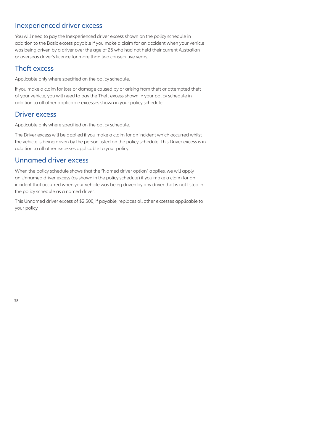#### Inexperienced driver excess

You will need to pay the Inexperienced driver excess shown on the policy schedule in addition to the Basic excess payable if you make a claim for an accident when your vehicle was being driven by a driver over the age of 25 who had not held their current Australian or overseas driver's licence for more than two consecutive years.

#### Theft excess

Applicable only where specified on the policy schedule.

If you make a claim for loss or damage caused by or arising from theft or attempted theft of your vehicle, you will need to pay the Theft excess shown in your policy schedule in addition to all other applicable excesses shown in your policy schedule.

#### Driver excess

Applicable only where specified on the policy schedule.

The Driver excess will be applied if you make a claim for an incident which occurred whilst the vehicle is being driven by the person listed on the policy schedule. This Driver excess is in addition to all other excesses applicable to your policy.

### Unnamed driver excess

When the policy schedule shows that the "Named driver option" applies, we will apply an Unnamed driver excess (as shown in the policy schedule) if you make a claim for an incident that occurred when your vehicle was being driven by any driver that is not listed in the policy schedule as a named driver.

This Unnamed driver excess of \$2,500, if payable, replaces all other excesses applicable to your policy.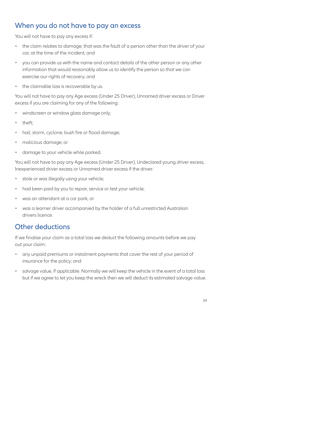### When you do not have to pay an excess

You will not have to pay any excess if:

- the claim relates to damage, that was the fault of a person other than the driver of your car, at the time of the incident; and
- you can provide us with the name and contact details of the other person or any other information that would reasonably allow us to identify the person so that we can exercise our rights of recovery; and
- the claimable loss is recoverable by us.

You will not have to pay any Age excess (Under 25 Driver), Unnamed driver excess or Driver excess if you are claiming for any of the following:

- windscreen or window glass damage only;
- theft;
- hail, storm, cyclone, bush fire or flood damage;
- malicious damage; or
- damage to your vehicle while parked.

You will not have to pay any Age excess (Under 25 Driver), Undeclared young driver excess, Inexperienced driver excess or Unnamed driver excess if the driver:

- stole or was illegally using your vehicle;
- had been paid by you to repair, service or test your vehicle;
- was an attendant at a car park; or
- was a learner driver accompanied by the holder of a full unrestricted Australian drivers licence.

### Other deductions

If we finalise your claim as a total loss we deduct the following amounts before we pay out your claim:

- any unpaid premiums or instalment payments that cover the rest of your period of insurance for the policy; and
- salvage value, if applicable. Normally we will keep the vehicle in the event of a total loss but if we agree to let you keep the wreck then we will deduct its estimated salvage value.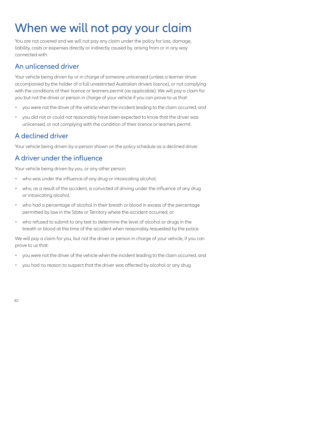# When we will not pay your claim

You are not covered and we will not pay any claim under the policy for loss, damage, liability, costs or expenses directly or indirectly caused by, arising from or in any way connected with:

#### An unlicensed driver

Your vehicle being driven by or in charge of someone unlicensed (unless a learner driver accompanied by the holder of a full unrestricted Australian drivers licence), or not complying with the conditions of their licence or learners permit (as applicable). We will pay a claim for you but not the driver or person in charge of your vehicle if you can prove to us that:

- you were not the driver of the vehicle when the incident leading to the claim occurred; and
- you did not or could not reasonably have been expected to know that the driver was unlicensed, or not complying with the condition of their licence or learners permit.

# A declined driver

Your vehicle being driven by a person shown on the policy schedule as a declined driver.

# A driver under the influence

Your vehicle being driven by you, or any other person:

- who was under the influence of any drug or intoxicating alcohol;
- who, as a result of the accident, is convicted of driving under the influence of any drug or intoxicating alcohol;
- who had a percentage of alcohol in their breath or blood in excess of the percentage permitted by law in the State or Territory where the accident occurred; or
- who refused to submit to any test to determine the level of alcohol or drugs in the breath or blood at the time of the accident when reasonably requested by the police.

We will pay a claim for you, but not the driver or person in charge of your vehicle, if you can prove to us that:

- you were not the driver of the vehicle when the incident leading to the claim occurred; and
- you had no reason to suspect that the driver was affected by alcohol or any drug.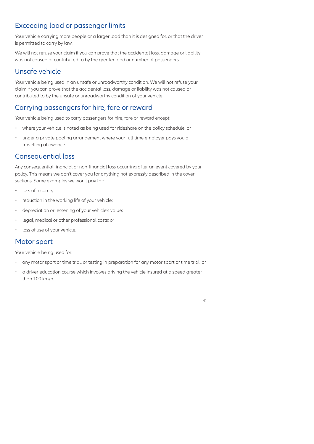# Exceeding load or passenger limits

Your vehicle carrying more people or a larger load than it is designed for, or that the driver is permitted to carry by law.

We will not refuse your claim if you can prove that the accidental loss, damage or liability was not caused or contributed to by the greater load or number of passengers.

# Unsafe vehicle

Your vehicle being used in an unsafe or unroadworthy condition. We will not refuse your claim if you can prove that the accidental loss, damage or liability was not caused or contributed to by the unsafe or unroadworthy condition of your vehicle.

# Carrying passengers for hire, fare or reward

Your vehicle being used to carry passengers for hire, fare or reward except:

- where your vehicle is noted as being used for rideshare on the policy schedule; or
- under a private pooling arrangement where your full-time employer pays you a travelling allowance.

# Consequential loss

Any consequential financial or non-financial loss occurring after an event covered by your policy. This means we don't cover you for anything not expressly described in the cover sections. Some examples we won't pay for:

- loss of income;
- reduction in the working life of your vehicle;
- depreciation or lessening of your vehicle's value;
- legal, medical or other professional costs; or
- loss of use of your vehicle.

#### Motor sport

Your vehicle being used for:

- any motor sport or time trial, or testing in preparation for any motor sport or time trial; or
- a driver education course which involves driving the vehicle insured at a speed greater than 100 km/h.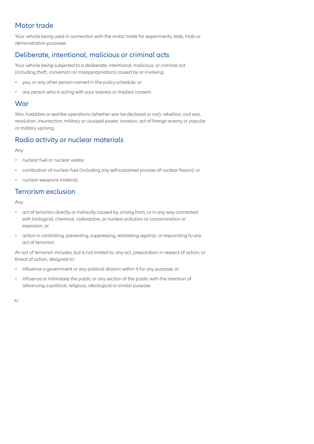# Motor trade

Your vehicle being used in connection with the motor trade for experiments, tests, trials or demonstration purposes

# Deliberate, intentional, malicious or criminal acts

Your vehicle being subjected to a deliberate, intentional, malicious, or criminal act (including theft, conversion or misappropriation) caused by or involving:

- you, or any other person named in the policy schedule; or
- any person who is acting with your express or implied consent.

#### War

War, hostilities or warlike operations (whether war be declared or not), rebellion, civil war, revolution, insurrection, military or usurped power, invasion, act of foreign enemy or popular or military uprising.

# Radio activity or nuclear materials

Any:

- nuclear fuel or nuclear waste;
- combustion of nuclear fuel (including any self-sustained process of nuclear fission); or
- nuclear weapons material.

# Terrorism exclusion

Any:

- act of terrorism directly or indirectly caused by, arising from, or in any way connected with biological, chemical, radioactive, or nuclear pollution or contamination or explosion, or
- action in controlling, preventing, suppressing, retaliating against, or responding to any act of terrorism.

An act of terrorism includes, but is not limited to, any act, preparation in respect of action, or threat of action, designed to:

- influence a government or any political division within it for any purpose; or
- influence or intimidate the public or any section of the public with the intention of advancing a political, religious, ideological or similar purpose.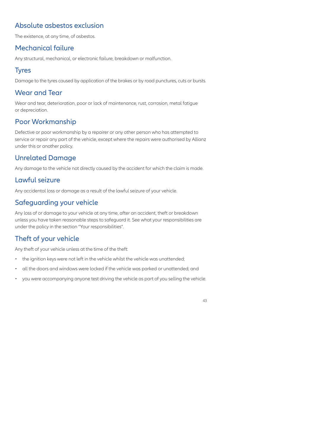# Absolute asbestos exclusion

The existence, at any time, of asbestos.

# Mechanical failure

Any structural, mechanical, or electronic failure, breakdown or malfunction.

# **Tyres**

Damage to the tyres caused by application of the brakes or by road punctures, cuts or bursts.

# Wear and Tear

Wear and tear, deterioration, poor or lack of maintenance, rust, corrosion, metal fatigue or depreciation.

# Poor Workmanship

Defective or poor workmanship by a repairer or any other person who has attempted to service or repair any part of the vehicle, except where the repairs were authorised by Allianz under this or another policy.

# Unrelated Damage

Any damage to the vehicle not directly caused by the accident for which the claim is made.

# Lawful seizure

Any accidental loss or damage as a result of the lawful seizure of your vehicle.

# Safeguarding your vehicle

Any loss of or damage to your vehicle at any time, after an accident, theft or breakdown unless you have taken reasonable steps to safeguard it. See what your responsibilities are under the policy in the section "Your responsibilities".

# Theft of your vehicle

Any theft of your vehicle unless at the time of the theft:

- the ignition keys were not left in the vehicle whilst the vehicle was unattended;
- all the doors and windows were locked if the vehicle was parked or unattended; and
- you were accompanying anyone test driving the vehicle as part of you selling the vehicle.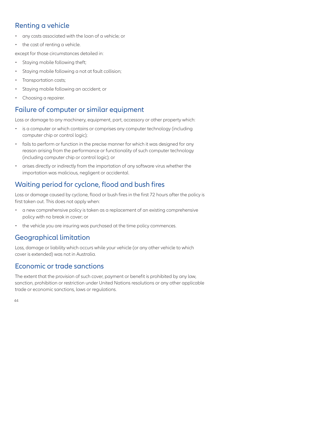# Renting a vehicle

- any costs associated with the loan of a vehicle; or
- the cost of renting a vehicle.

except for those circumstances detailed in:

- Staying mobile following theft;
- Staying mobile following a not at fault collision;
- Transportation costs;
- Staying mobile following an accident; or
- Choosing a repairer.

# Failure of computer or similar equipment

Loss or damage to any machinery, equipment, part, accessory or other property which:

- is a computer or which contains or comprises any computer technology (including computer chip or control logic);
- fails to perform or function in the precise manner for which it was designed for any reason arising from the performance or functionality of such computer technology (including computer chip or control logic); or
- arises directly or indirectly from the importation of any software virus whether the importation was malicious, negligent or accidental.

# Waiting period for cyclone, flood and bush fires

Loss or damage caused by cyclone, flood or bush fires in the first 72 hours after the policy is first taken out. This does not apply when:

- a new comprehensive policy is taken as a replacement of an existing comprehensive policy with no break in cover; or
- the vehicle you are insuring was purchased at the time policy commences.

# Geographical limitation

Loss, damage or liability which occurs while your vehicle (or any other vehicle to which cover is extended) was not in Australia.

### Economic or trade sanctions

The extent that the provision of such cover, payment or benefit is prohibited by any law, sanction, prohibition or restriction under United Nations resolutions or any other applicable trade or economic sanctions, laws or regulations.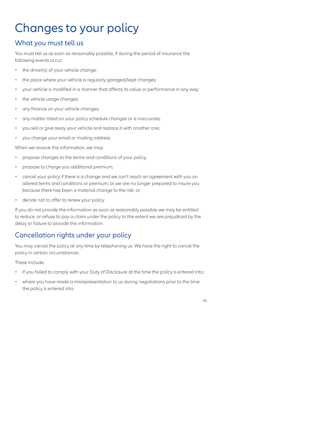# Changes to your policy

# What you must tell us

You must tell us as soon as reasonably possible, if during the period of insurance the following events occur:

- the driver(s) of your vehicle change:
- the place where your vehicle is regularly garaged/kept changes;
- your vehicle is modified in a manner that affects its value or performance in any way;
- the vehicle usage changes;
- any finance on your vehicle changes;
- any matter listed on your policy schedule changes or is inaccurate;
- you sell or give away your vehicle and replace it with another one;
- you change your email or mailing address.

When we receive this information, we may:

- propose changes to the terms and conditions of your policy;
- propose to charge you additional premium;
- cancel your policy if there is a change and we can't reach an agreement with you on altered terms and conditions or premium; or we are no longer prepared to insure you because there has been a material change to the risk; or
- decide not to offer to renew your policy.

If you do not provide the information as soon as reasonably possible we may be entitled to reduce, or refuse to pay a claim under the policy to the extent we are prejudiced by the delay or failure to provide this information.

# Cancellation rights under your policy

You may cancel the policy at any time by telephoning us. We have the right to cancel the policy in certain circumstances.

These include:

- if you failed to comply with your Duty of Disclosure at the time the policy is entered into:
- where you have made a misrepresentation to us during negotiations prior to the time the policy is entered into;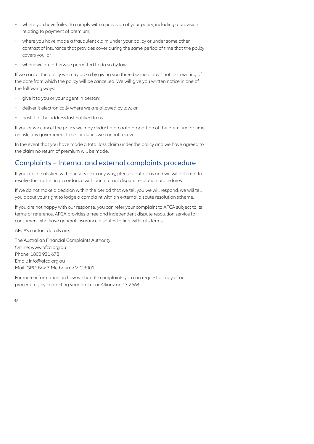- where you have failed to comply with a provision of your policy, including a provision relating to payment of premium;
- where you have made a fraudulent claim under your policy or under some other contract of insurance that provides cover during the same period of time that the policy covers you; or
- where we are otherwise permitted to do so by law.

If we cancel the policy we may do so by giving you three business days' notice in writing of the date from which the policy will be cancelled. We will give you written notice in one of the following ways:

- give it to you or your agent in person;
- deliver it electronically where we are allowed by law; or
- post it to the address last notified to us.

If you or we cancel the policy we may deduct a pro rata proportion of the premium for time on risk, any government taxes or duties we cannot recover.

In the event that you have made a total loss claim under the policy and we have agreed to the claim no return of premium will be made.

#### Complaints – Internal and external complaints procedure

If you are dissatisfied with our service in any way, please contact us and we will attempt to resolve the matter in accordance with our internal dispute resolution procedures.

If we do not make a decision within the period that we tell you we will respond, we will tell you about your right to lodge a complaint with an external dispute resolution scheme.

If you are not happy with our response, you can refer your complaint to AFCA subject to its terms of reference. AFCA provides a free and independent dispute resolution service for consumers who have general insurance disputes falling within its terms.

AFCA's contact details are:

The Australian Financial Complaints Authority Online: www.afca.org.au Phone: 1800 931 678 Email: info@afca.org.au Mail: GPO Box 3 Melbourne VIC 3001

For more information on how we handle complaints you can request a copy of our procedures, by contacting your broker or Allianz on 13 2664.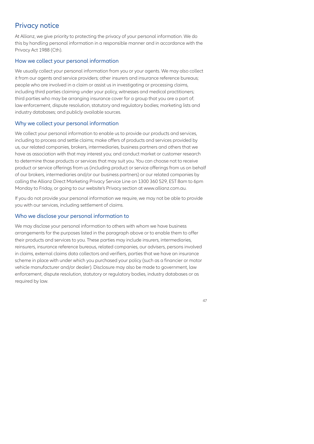# Privacy notice

At Allianz, we give priority to protecting the privacy of your personal information. We do this by handling personal information in a responsible manner and in accordance with the Privacy Act 1988 (Cth).

#### How we collect your personal information

We usually collect your personal information from you or your agents. We may also collect it from our agents and service providers; other insurers and insurance reference bureaus; people who are involved in a claim or assist us in investigating or processing claims, including third parties claiming under your policy, witnesses and medical practitioners; third parties who may be arranging insurance cover for a group that you are a part of; law enforcement, dispute resolution, statutory and regulatory bodies; marketing lists and industry databases; and publicly available sources.

#### Why we collect your personal information

We collect your personal information to enable us to provide our products and services, including to process and settle claims; make offers of products and services provided by us, our related companies, brokers, intermediaries, business partners and others that we have as association with that may interest you; and conduct market or customer research to determine those products or services that may suit you. You can choose not to receive product or service offerings from us (including product or service offerings from us on behalf of our brokers, intermediaries and/or our business partners) or our related companies by calling the Allianz Direct Marketing Privacy Service Line on 1300 360 529, EST 8am to 6pm Monday to Friday, or going to our website's Privacy section at www.allianz.com.au.

If you do not provide your personal information we require, we may not be able to provide you with our services, including settlement of claims.

#### Who we disclose your personal information to

We may disclose your personal information to others with whom we have business arrangements for the purposes listed in the paragraph above or to enable them to offer their products and services to you. These parties may include insurers, intermediaries, reinsurers, insurance reference bureaus, related companies, our advisers, persons involved in claims, external claims data collectors and verifiers, parties that we have an insurance scheme in place with under which you purchased your policy (such as a financier or motor vehicle manufacturer and/or dealer). Disclosure may also be made to government, law enforcement, dispute resolution, statutory or regulatory bodies, industry databases or as required by law.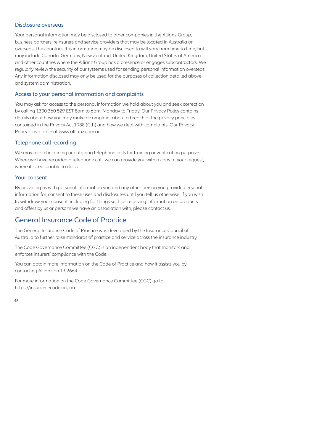#### Disclosure overseas

Your personal information may be disclosed to other companies in the Allianz Group, business partners, reinsurers and service providers that may be located in Australia or overseas. The countries this information may be disclosed to will vary from time to time, but may include Canada, Germany, New Zealand, United Kingdom, United States of America and other countries where the Allianz Group has a presence or engages subcontractors. We regularly review the security of our systems used for sending personal information overseas. Any information disclosed may only be used for the purposes of collection detailed above and system administration.

#### Access to your personal information and complaints

You may ask for access to the personal information we hold about you and seek correction by calling 1300 360 529 EST 8am to 6pm, Monday to Friday. Our Privacy Policy contains details about how you may make a complaint about a breach of the privacy principles contained in the Privacy Act 1988 (Cth) and how we deal with complaints. Our Privacy Policy is available at www.allianz.com.au.

#### Telephone call recording

We may record incoming or outgoing telephone calls for training or verification purposes. Where we have recorded a telephone call, we can provide you with a copy at your request, where it is reasonable to do so.

#### Your consent

By providing us with personal information you and any other person you provide personal information for, consent to these uses and disclosures until you tell us otherwise. If you wish to withdraw your consent, including for things such as receiving information on products and offers by us or persons we have an association with, please contact us.

#### General Insurance Code of Practice

The General Insurance Code of Practice was developed by the Insurance Council of Australia to further raise standards of practice and service across the insurance industry.

The Code Governance Committee (CGC) is an independent body that monitors and enforces insurers' compliance with the Code.

You can obtain more information on the Code of Practice and how it assists you by contacting Allianz on 13 2664.

For more information on the Code Governance Committee (CGC) go to https://insurancecode.org.au.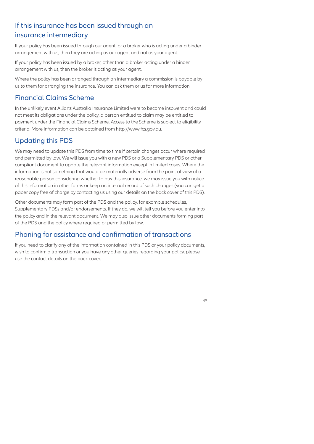# If this insurance has been issued through an insurance intermediary

If your policy has been issued through our agent, or a broker who is acting under a binder arrangement with us, then they are acting as our agent and not as your agent.

If your policy has been issued by a broker, other than a broker acting under a binder arrangement with us, then the broker is acting as your agent.

Where the policy has been arranged through an intermediary a commission is payable by us to them for arranging the insurance. You can ask them or us for more information.

# Financial Claims Scheme

In the unlikely event Allianz Australia Insurance Limited were to become insolvent and could not meet its obligations under the policy, a person entitled to claim may be entitled to payment under the Financial Claims Scheme. Access to the Scheme is subject to eligibility criteria. More information can be obtained from http://www.fcs.gov.au.

# Updating this PDS

We may need to update this PDS from time to time if certain changes occur where required and permitted by law. We will issue you with a new PDS or a Supplementary PDS or other compliant document to update the relevant information except in limited cases. Where the information is not something that would be materially adverse from the point of view of a reasonable person considering whether to buy this insurance, we may issue you with notice of this information in other forms or keep an internal record of such changes (you can get a paper copy free of charge by contacting us using our details on the back cover of this PDS).

Other documents may form part of the PDS and the policy, for example schedules, Supplementary PDSs and/or endorsements. If they do, we will tell you before you enter into the policy and in the relevant document. We may also issue other documents forming part of the PDS and the policy where required or permitted by law.

### Phoning for assistance and confirmation of transactions

If you need to clarify any of the information contained in this PDS or your policy documents, wish to confirm a transaction or you have any other queries regarding your policy, please use the contact details on the back cover.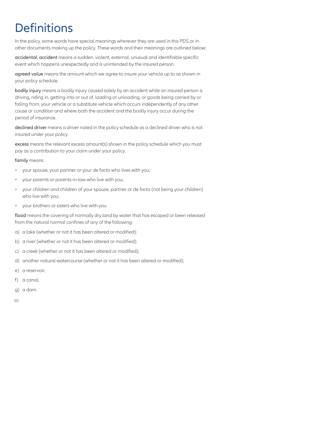# **Definitions**

In the policy, some words have special meanings wherever they are used in this PDS or in other documents making up the policy. These words and their meanings are outlined below:

accidental, accident means a sudden, violent, external, unusual and identifiable specific event which happens unexpectedly and is unintended by the insured person.

agreed value means the amount which we agree to insure your vehicle up to as shown in your policy schedule.

bodily injury means a bodily injury caused solely by an accident while an insured person is driving, riding in, getting into or out of, loading or unloading, or goods being carried by or falling from, your vehicle or a substitute vehicle which occurs independently of any other cause or condition and where both the accident and the bodily injury occur during the period of insurance.

declined driver means a driver noted in the policy schedule as a declined driver who is not insured under your policy.

excess means the relevant excess amount(s) shown in the policy schedule which you must pay as a contribution to your claim under your policy.

family means:

- your spouse, your partner or your de facto who lives with you;
- your parents or parents-in-law who live with you;
- your children and children of your spouse, partner or de facto (not being your children) who live with you;
- your brothers or sisters who live with you.

flood means the covering of normally dry land by water that has escaped or been released from the natural normal confines of any of the following:

- a) a lake (whether or not it has been altered or modified);
- b) a river (whether or not it has been altered or modified);
- c) a creek (whether or not it has been altered or modified);
- d) another natural watercourse (whether or not it has been altered or modified);
- e) a reservoir;
- f) a canal;
- g) a dam.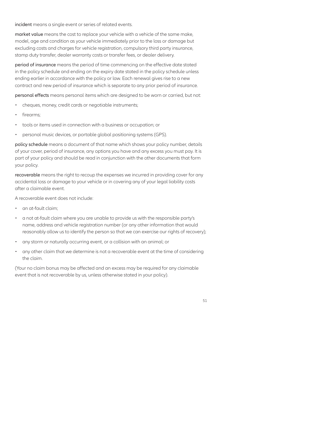incident means a single event or series of related events.

market value means the cost to replace your vehicle with a vehicle of the same make, model, age and condition as your vehicle immediately prior to the loss or damage but excluding costs and charges for vehicle registration, compulsory third party insurance, stamp duty transfer, dealer warranty costs or transfer fees, or dealer delivery.

period of insurance means the period of time commencing on the effective date stated in the policy schedule and ending on the expiry date stated in the policy schedule unless ending earlier in accordance with the policy or law. Each renewal gives rise to a new contract and new period of insurance which is separate to any prior period of insurance.

personal effects means personal items which are designed to be worn or carried, but not:

- cheques, money, credit cards or negotiable instruments;
- firearms:
- tools or items used in connection with a business or occupation; or
- personal music devices, or portable global positioning systems (GPS).

policy schedule means a document of that name which shows your policy number, details of your cover, period of insurance, any options you have and any excess you must pay. It is part of your policy and should be read in conjunction with the other documents that form your policy.

recoverable means the right to recoup the expenses we incurred in providing cover for any accidental loss or damage to your vehicle or in covering any of your legal liability costs after a claimable event.

A recoverable event does not include:

- an at-fault claim;
- a not at-fault claim where you are unable to provide us with the responsible party's name, address and vehicle registration number (or any other information that would reasonably allow us to identify the person so that we can exercise our rights of recovery);
- any storm or naturally occurring event, or a collision with an animal; or
- any other claim that we determine is not a recoverable event at the time of considering the claim.

(Your no claim bonus may be affected and an excess may be required for any claimable event that is not recoverable by us, unless otherwise stated in your policy).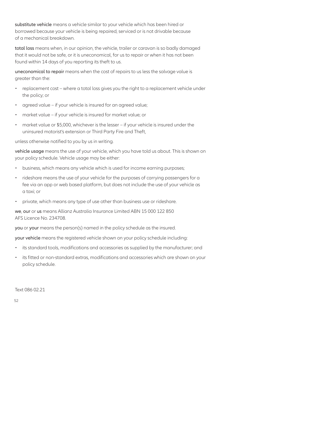substitute vehicle means a vehicle similar to your vehicle which has been hired or borrowed because your vehicle is being repaired, serviced or is not drivable because of a mechanical breakdown.

total loss means when, in our opinion, the vehicle, trailer or caravan is so badly damaged that it would not be safe, or it is uneconomical, for us to repair or when it has not been found within 14 days of you reporting its theft to us.

uneconomical to repair means when the cost of repairs to us less the salvage value is greater than the:

- replacement cost where a total loss gives you the right to a replacement vehicle under the policy; or
- agreed value if your vehicle is insured for an agreed value;
- market value if your vehicle is insured for market value; or
- market value or \$5,000, whichever is the lesser if your vehicle is insured under the uninsured motorist's extension or Third Party Fire and Theft,

unless otherwise notified to you by us in writing.

vehicle usage means the use of your vehicle, which you have told us about. This is shown on your policy schedule. Vehicle usage may be either:

- business, which means any vehicle which is used for income earning purposes;
- rideshare means the use of your vehicle for the purposes of carrying passengers for a fee via an app or web based platform, but does not include the use of your vehicle as a taxi; or
- private, which means any type of use other than business use or rideshare.

we, our or us means Allianz Australia Insurance Limited ABN 15 000 122 850 AFS Licence No. 234708.

you or your means the person(s) named in the policy schedule as the insured.

your vehicle means the registered vehicle shown on your policy schedule including:

- its standard tools, modifications and accessories as supplied by the manufacturer; and
- its fitted or non-standard extras, modifications and accessories which are shown on your policy schedule.

Text 086 02.21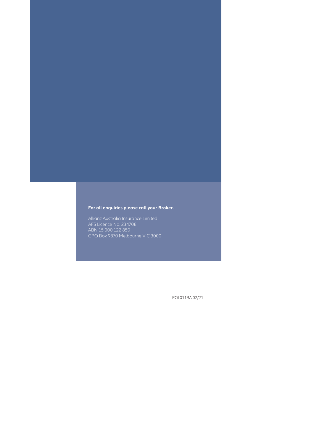#### **For all enquiries please call your Broker.**

AFS Licence No. 234708 ABN 15 000 122 850 GPO Box 9870 Melbourne VIC 3000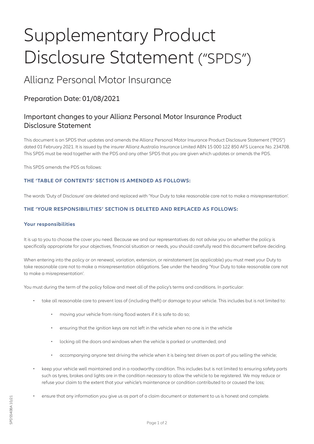# Supplementary Product Disclosure Statement ("SPDS") Supplementation<br>
DISCLOSURE Statemente<br>
Preparation Date: 01/08/2021<br>
Allianz Personal Motor Insurance<br>
Preparation Date: 01/08/2021<br>
Disclosure Statement<br>
Disclosure' statement<br>
Disclosure' are sponsible upones are derent SUPPLEMENTY Product<br>
DISCLOSUFE Statement<br>
Allianz Personal Motor Insurance<br>
Preparation Date: 01/08/2021<br>
Important changes to your Allianz Personal Motor Insurance Product<br>
Insurance a misre sected for the heading to tak

# Allianz Personal Motor Insurance

# Preparation Date: 01/08/2021

# Important changes to your Allianz Personal Motor Insurance Product Disclosure Statement

This document is an SPDS that updates and amends the Allianz Personal Motor Insurance Product Disclosure Statement ("PDS") dated 01 February 2021. It is issued by the insurer Allianz Australia Insurance Limited ABN 15 000 122 850 AFS Licence No. 234708. This SPDS must be read together with the PDS and any other SPDS that you are given which updates or amends the PDS.

This SPDS amends the PDS as follows:

#### **THE 'TABLE OF CONTENTS' SECTION IS AMENDED AS FOLLOWS:**

#### **THE 'YOUR RESPONSIBILITIES' SECTION IS DELETED AND REPLACED AS FOLLOWS:**

#### **Your responsibilities**

It is up to you to choose the cover you need. Because we and our representatives do not advise you on whether the policy is specifically appropriate for your objectives, financial situation or needs, you should carefully read this document before deciding.

When entering into the policy or on renewal, variation, extension, or reinstatement (as applicable) you must meet your Duty to to make a misrepresentation'.

You must during the term of the policy follow and meet all of the policy's terms and conditions. In particular:

- take all reasonable care to prevent loss of (including theft) or damage to your vehicle. This includes but is not limited to:
	- moving your vehicle from rising flood waters if it is safe to do so;
	- ensuring that the ignition keys are not left in the vehicle when no one is in the vehicle
	- locking all the doors and windows when the vehicle is parked or unattended; and
	- accompanying anyone test driving the vehicle when it is being test driven as part of you selling the vehicle;
- keep your vehicle well maintained and in a roadworthy condition. This includes but is not limited to ensuring safety parts such as tyres, brakes and lights are in the condition necessary to allow the vehicle to be registered. We may reduce or refuse your claim to the extent that your vehicle's maintenance or condition contributed to or caused the loss;
- ensure that any information you give us as part of a claim document or statement to us is honest and complete.<br>SAS<br>540840540<br>BAG 10f 2